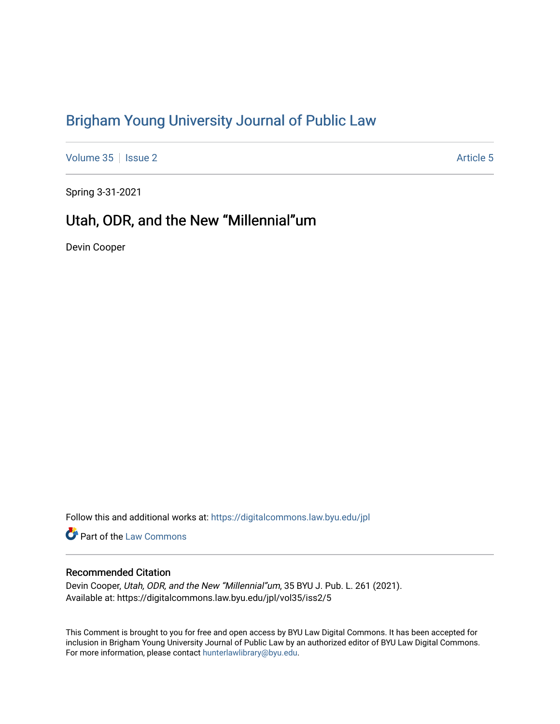# [Brigham Young University Journal of Public Law](https://digitalcommons.law.byu.edu/jpl)

[Volume 35](https://digitalcommons.law.byu.edu/jpl/vol35) | [Issue 2](https://digitalcommons.law.byu.edu/jpl/vol35/iss2) Article 5

Spring 3-31-2021

# Utah, ODR, and the New "Millennial"um

Devin Cooper

Follow this and additional works at: [https://digitalcommons.law.byu.edu/jpl](https://digitalcommons.law.byu.edu/jpl?utm_source=digitalcommons.law.byu.edu%2Fjpl%2Fvol35%2Fiss2%2F5&utm_medium=PDF&utm_campaign=PDFCoverPages) 

Part of the [Law Commons](http://network.bepress.com/hgg/discipline/578?utm_source=digitalcommons.law.byu.edu%2Fjpl%2Fvol35%2Fiss2%2F5&utm_medium=PDF&utm_campaign=PDFCoverPages)

# Recommended Citation

Devin Cooper, Utah, ODR, and the New "Millennial"um, 35 BYU J. Pub. L. 261 (2021). Available at: https://digitalcommons.law.byu.edu/jpl/vol35/iss2/5

This Comment is brought to you for free and open access by BYU Law Digital Commons. It has been accepted for inclusion in Brigham Young University Journal of Public Law by an authorized editor of BYU Law Digital Commons. For more information, please contact [hunterlawlibrary@byu.edu](mailto:hunterlawlibrary@byu.edu).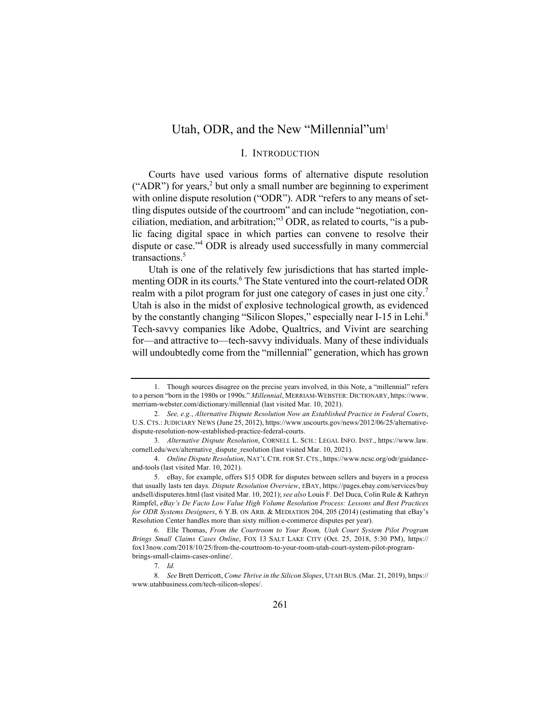# Utah, ODR, and the New "Millennial"um<sup>1</sup>

# I. INTRODUCTION

Courts have used various forms of alternative dispute resolution ("ADR") for years,<sup>2</sup> but only a small number are beginning to experiment with online dispute resolution ("ODR"). ADR "refers to any means of settling disputes outside of the courtroom" and can include "negotiation, conciliation, mediation, and arbitration;"<sup>3</sup> ODR, as related to courts, "is a public facing digital space in which parties can convene to resolve their dispute or case."4 ODR is already used successfully in many commercial transactions.<sup>5</sup>

Utah is one of the relatively few jurisdictions that has started implementing ODR in its courts.<sup>6</sup> The State ventured into the court-related ODR realm with a pilot program for just one category of cases in just one city.<sup>7</sup> Utah is also in the midst of explosive technological growth, as evidenced by the constantly changing "Silicon Slopes," especially near I-15 in Lehi.<sup>8</sup> Tech-savvy companies like Adobe, Qualtrics, and Vivint are searching for—and attractive to—tech-savvy individuals. Many of these individuals will undoubtedly come from the "millennial" generation, which has grown

<sup>1.</sup> Though sources disagree on the precise years involved, in this Note, a "millennial" refers to a person "born in the 1980s or 1990s." *Millennial*, MERRIAM-WEBSTER: DICTIONARY, https://www. merriam-webster.com/dictionary/millennial (last visited Mar. 10, 2021).

<sup>2.</sup> *See, e.g.*, *Alternative Dispute Resolution Now an Established Practice in Federal Courts*, U.S. CTS.: JUDICIARY NEWS (June 25, 2012), https://www.uscourts.gov/news/2012/06/25/alternativedispute-resolution-now-established-practice-federal-courts.

<sup>3.</sup> *Alternative Dispute Resolution*, CORNELL L. SCH.: LEGAL INFO. INST., https://www.law. cornell.edu/wex/alternative\_dispute\_resolution (last visited Mar. 10, 2021).

<sup>4.</sup> *Online Dispute Resolution*, NAT'L CTR. FOR ST.CTS., https://www.ncsc.org/odr/guidanceand-tools (last visited Mar. 10, 2021).

<sup>5.</sup> eBay, for example, offers \$15 ODR for disputes between sellers and buyers in a process that usually lasts ten days. *Dispute Resolution Overview*, EBAY, https://pages.ebay.com/services/buy andsell/disputeres.html (last visited Mar. 10, 2021); *see also* Louis F. Del Duca, Colin Rule & Kathryn Rimpfel, *eBay's De Facto Low Value High Volume Resolution Process: Lessons and Best Practices for ODR Systems Designers*, 6 Y.B. ON ARB. & MEDIATION 204, 205 (2014) (estimating that eBay's Resolution Center handles more than sixty million e-commerce disputes per year).

<sup>6.</sup> Elle Thomas, *From the Courtroom to Your Room, Utah Court System Pilot Program Brings Small Claims Cases Online*, FOX 13 SALT LAKE CITY (Oct. 25, 2018, 5:30 PM), https:// fox13now.com/2018/10/25/from-the-courtroom-to-your-room-utah-court-system-pilot-programbrings-small-claims-cases-online/.

<sup>7.</sup> *Id.*

<sup>8.</sup> *See* Brett Derricott, *Come Thrive in the Silicon Slopes*, UTAH BUS.(Mar. 21, 2019), https:// www.utahbusiness.com/tech-silicon-slopes/.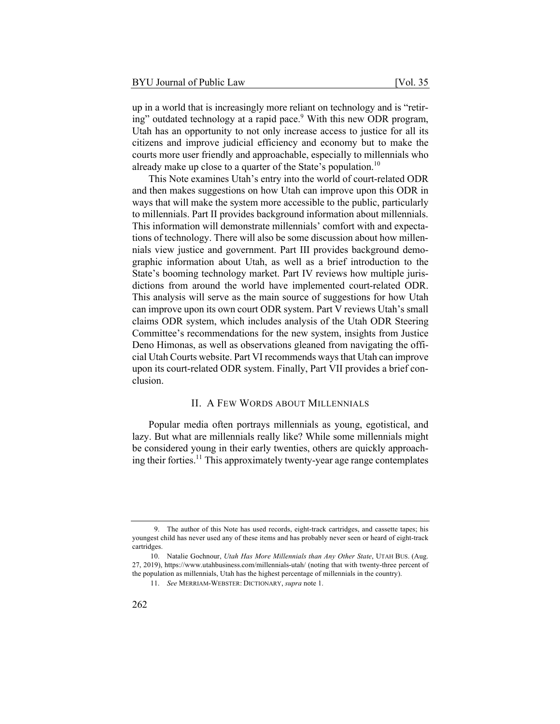up in a world that is increasingly more reliant on technology and is "retiring" outdated technology at a rapid pace.<sup>9</sup> With this new ODR program, Utah has an opportunity to not only increase access to justice for all its citizens and improve judicial efficiency and economy but to make the courts more user friendly and approachable, especially to millennials who already make up close to a quarter of the State's population.<sup>10</sup>

This Note examines Utah's entry into the world of court-related ODR and then makes suggestions on how Utah can improve upon this ODR in ways that will make the system more accessible to the public, particularly to millennials. Part II provides background information about millennials. This information will demonstrate millennials' comfort with and expectations of technology. There will also be some discussion about how millennials view justice and government. Part III provides background demographic information about Utah, as well as a brief introduction to the State's booming technology market. Part IV reviews how multiple jurisdictions from around the world have implemented court-related ODR. This analysis will serve as the main source of suggestions for how Utah can improve upon its own court ODR system. Part V reviews Utah's small claims ODR system, which includes analysis of the Utah ODR Steering Committee's recommendations for the new system, insights from Justice Deno Himonas, as well as observations gleaned from navigating the official Utah Courts website. Part VI recommends ways that Utah can improve upon its court-related ODR system. Finally, Part VII provides a brief conclusion.

## II. A FEW WORDS ABOUT MILLENNIALS

Popular media often portrays millennials as young, egotistical, and lazy. But what are millennials really like? While some millennials might be considered young in their early twenties, others are quickly approaching their forties.<sup>11</sup> This approximately twenty-year age range contemplates

<sup>9.</sup> The author of this Note has used records, eight-track cartridges, and cassette tapes; his youngest child has never used any of these items and has probably never seen or heard of eight-track cartridges.

<sup>10.</sup> Natalie Gochnour, *Utah Has More Millennials than Any Other State*, UTAH BUS. (Aug. 27, 2019), https://www.utahbusiness.com/millennials-utah/ (noting that with twenty-three percent of the population as millennials, Utah has the highest percentage of millennials in the country).

<sup>11.</sup> *See* MERRIAM-WEBSTER: DICTIONARY, *supra* note 1.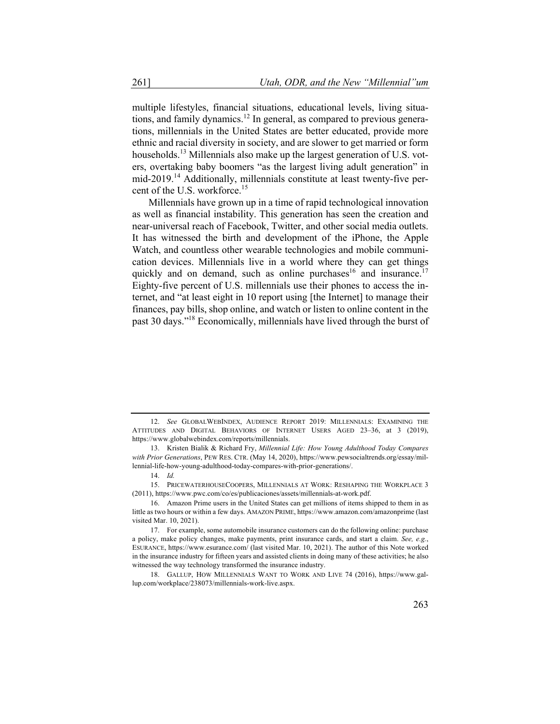multiple lifestyles, financial situations, educational levels, living situations, and family dynamics.<sup>12</sup> In general, as compared to previous generations, millennials in the United States are better educated, provide more ethnic and racial diversity in society, and are slower to get married or form households.<sup>13</sup> Millennials also make up the largest generation of U.S. voters, overtaking baby boomers "as the largest living adult generation" in mid-2019.<sup>14</sup> Additionally, millennials constitute at least twenty-five percent of the U.S. workforce.<sup>15</sup>

Millennials have grown up in a time of rapid technological innovation as well as financial instability. This generation has seen the creation and near-universal reach of Facebook, Twitter, and other social media outlets. It has witnessed the birth and development of the iPhone, the Apple Watch, and countless other wearable technologies and mobile communication devices. Millennials live in a world where they can get things quickly and on demand, such as online purchases<sup>16</sup> and insurance.<sup>17</sup> Eighty-five percent of U.S. millennials use their phones to access the internet, and "at least eight in 10 report using [the Internet] to manage their finances, pay bills, shop online, and watch or listen to online content in the past 30 days."18 Economically, millennials have lived through the burst of

<sup>12.</sup> *See* GLOBALWEBINDEX, AUDIENCE REPORT 2019: MILLENNIALS: EXAMINING THE ATTITUDES AND DIGITAL BEHAVIORS OF INTERNET USERS AGED 23–36, at 3 (2019), https://www.globalwebindex.com/reports/millennials.

<sup>13.</sup> Kristen Bialik & Richard Fry, *Millennial Life: How Young Adulthood Today Compares with Prior Generations*, PEW RES. CTR. (May 14, 2020), https://www.pewsocialtrends.org/essay/millennial-life-how-young-adulthood-today-compares-with-prior-generations/.

<sup>14.</sup> *Id.*

<sup>15.</sup> PRICEWATERHOUSECOOPERS, MILLENNIALS AT WORK: RESHAPING THE WORKPLACE 3 (2011), https://www.pwc.com/co/es/publicaciones/assets/millennials-at-work.pdf.

<sup>16.</sup> Amazon Prime users in the United States can get millions of items shipped to them in as little as two hours or within a few days. AMAZON PRIME, https://www.amazon.com/amazonprime (last visited Mar. 10, 2021).

<sup>17.</sup> For example, some automobile insurance customers can do the following online: purchase a policy, make policy changes, make payments, print insurance cards, and start a claim. *See, e.g.*, ESURANCE, https://www.esurance.com/ (last visited Mar. 10, 2021). The author of this Note worked in the insurance industry for fifteen years and assisted clients in doing many of these activities; he also witnessed the way technology transformed the insurance industry.

<sup>18.</sup> GALLUP, HOW MILLENNIALS WANT TO WORK AND LIVE 74 (2016), https://www.gallup.com/workplace/238073/millennials-work-live.aspx.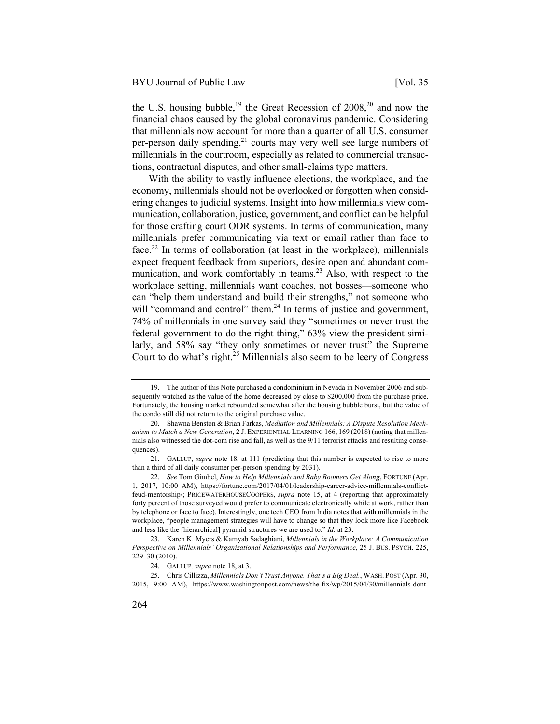the U.S. housing bubble,<sup>19</sup> the Great Recession of  $2008$ ,<sup>20</sup> and now the financial chaos caused by the global coronavirus pandemic. Considering that millennials now account for more than a quarter of all U.S. consumer per-person daily spending,<sup>21</sup> courts may very well see large numbers of millennials in the courtroom, especially as related to commercial transactions, contractual disputes, and other small-claims type matters.

With the ability to vastly influence elections, the workplace, and the economy, millennials should not be overlooked or forgotten when considering changes to judicial systems. Insight into how millennials view communication, collaboration, justice, government, and conflict can be helpful for those crafting court ODR systems. In terms of communication, many millennials prefer communicating via text or email rather than face to face.<sup>22</sup> In terms of collaboration (at least in the workplace), millennials expect frequent feedback from superiors, desire open and abundant communication, and work comfortably in teams.<sup>23</sup> Also, with respect to the workplace setting, millennials want coaches, not bosses—someone who can "help them understand and build their strengths," not someone who will "command and control" them.<sup>24</sup> In terms of justice and government, 74% of millennials in one survey said they "sometimes or never trust the federal government to do the right thing," 63% view the president similarly, and 58% say "they only sometimes or never trust" the Supreme Court to do what's right. $^{25}$  Millennials also seem to be leery of Congress

<sup>19.</sup> The author of this Note purchased a condominium in Nevada in November 2006 and subsequently watched as the value of the home decreased by close to \$200,000 from the purchase price. Fortunately, the housing market rebounded somewhat after the housing bubble burst, but the value of the condo still did not return to the original purchase value.

<sup>20.</sup> Shawna Benston & Brian Farkas, *Mediation and Millennials: A Dispute Resolution Mechanism to Match a New Generation*, 2 J. EXPERIENTIAL LEARNING 166, 169 (2018) (noting that millennials also witnessed the dot-com rise and fall, as well as the 9/11 terrorist attacks and resulting consequences).

<sup>21.</sup> GALLUP, *supra* note 18, at 111 (predicting that this number is expected to rise to more than a third of all daily consumer per-person spending by 2031).

<sup>22.</sup> *See* Tom Gimbel, *How to Help Millennials and Baby Boomers Get Along*, FORTUNE (Apr. 1, 2017, 10:00 AM), https://fortune.com/2017/04/01/leadership-career-advice-millennials-conflictfeud-mentorship/; PRICEWATERHOUSECOOPERS, *supra* note 15, at 4 (reporting that approximately forty percent of those surveyed would prefer to communicate electronically while at work, rather than by telephone or face to face). Interestingly, one tech CEO from India notes that with millennials in the workplace, "people management strategies will have to change so that they look more like Facebook and less like the [hierarchical] pyramid structures we are used to." *Id.* at 23.

<sup>23.</sup> Karen K. Myers & Kamyab Sadaghiani, *Millennials in the Workplace: A Communication Perspective on Millennials' Organizational Relationships and Performance*, 25 J. BUS. PSYCH. 225, 229–30 (2010).

<sup>24.</sup> GALLUP*, supra* note 18, at 3.

<sup>25.</sup> Chris Cillizza, *Millennials Don't Trust Anyone. That's a Big Deal.*, WASH. POST (Apr. 30, 2015, 9:00 AM), https://www.washingtonpost.com/news/the-fix/wp/2015/04/30/millennials-dont-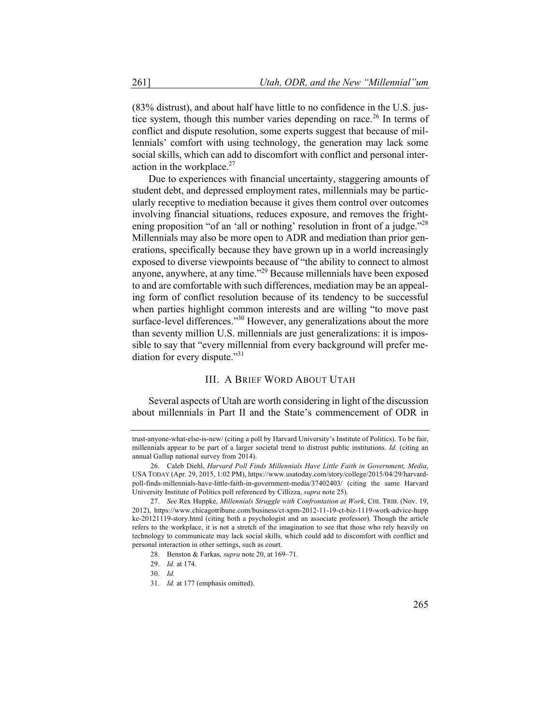(83% distrust), and about half have little to no confidence in the U.S. justice system, though this number varies depending on race.<sup>26</sup> In terms of conflict and dispute resolution, some experts suggest that because of millennials' comfort with using technology, the generation may lack some social skills, which can add to discomfort with conflict and personal interaction in the workplace. $27$ 

Due to experiences with financial uncertainty, staggering amounts of student debt, and depressed employment rates, millennials may be particularly receptive to mediation because it gives them control over outcomes involving financial situations, reduces exposure, and removes the frightening proposition "of an 'all or nothing' resolution in front of a judge."<sup>28</sup> Millennials may also be more open to ADR and mediation than prior generations, specifically because they have grown up in a world increasingly exposed to diverse viewpoints because of "the ability to connect to almost anyone, anywhere, at any time."<sup>29</sup> Because millennials have been exposed to and are comfortable with such differences, mediation may be an appealing form of conflict resolution because of its tendency to be successful when parties highlight common interests and are willing "to move past surface-level differences."<sup>30</sup> However, any generalizations about the more than seventy million U.S. millennials are just generalizations: it is impossible to say that "every millennial from every background will prefer mediation for every dispute." $31$ 

## III. A BRIEF WORD ABOUT UTAH

Several aspects of Utah are worth considering in light of the discussion about millennials in Part II and the State's commencement of ODR in

trust-anyone-what-else-is-new/ (citing a poll by Harvard University's Institute of Politics). To be fair, millennials appear to be part of a larger societal trend to distrust public institutions. *Id.* (citing an annual Gallup national survey from 2014).

<sup>26.</sup> Caleb Diehl, *Harvard Poll Finds Millennials Have Little Faith in Government, Media*, USA TODAY (Apr. 29, 2015, 1:02 PM), https://www.usatoday.com/story/college/2015/04/29/harvardpoll-finds-millennials-have-little-faith-in-government-media/37402403/ (citing the same Harvard University Institute of Politics poll referenced by Cillizza, *supra* note 25).

<sup>27.</sup> *See* Rex Huppke, *Millennials Struggle with Confrontation at Work*, CHI. TRIB. (Nov. 19, 2012), https://www.chicagotribune.com/business/ct-xpm-2012-11-19-ct-biz-1119-work-advice-hupp ke-20121119-story.html (citing both a psychologist and an associate professor). Though the article refers to the workplace, it is not a stretch of the imagination to see that those who rely heavily on technology to communicate may lack social skills, which could add to discomfort with conflict and personal interaction in other settings, such as court.

<sup>28.</sup> Benston & Farkas, *supra* note 20, at 169–71.

<sup>29.</sup> *Id.* at 174.

<sup>30.</sup> *Id.*

<sup>31.</sup> *Id.* at 177 (emphasis omitted).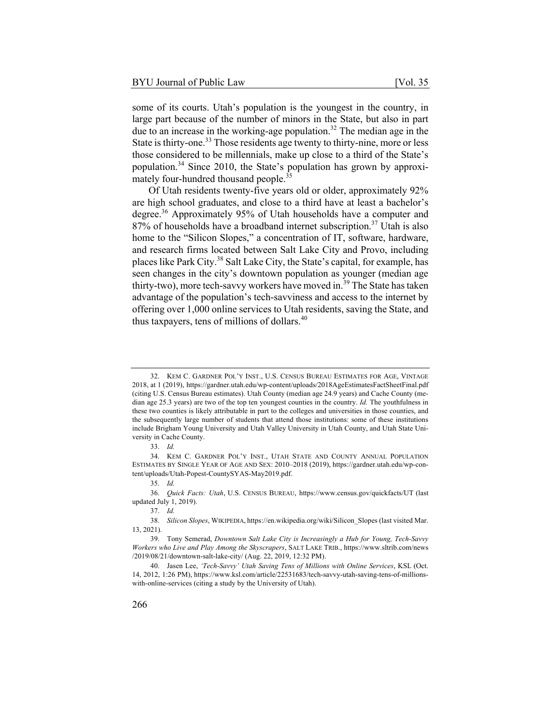some of its courts. Utah's population is the youngest in the country, in large part because of the number of minors in the State, but also in part due to an increase in the working-age population.<sup>32</sup> The median age in the State is thirty-one.<sup>33</sup> Those residents age twenty to thirty-nine, more or less those considered to be millennials, make up close to a third of the State's population.<sup>34</sup> Since 2010, the State's population has grown by approximately four-hundred thousand people.<sup>35</sup>

Of Utah residents twenty-five years old or older, approximately 92% are high school graduates, and close to a third have at least a bachelor's degree.<sup>36</sup> Approximately 95% of Utah households have a computer and 87% of households have a broadband internet subscription.<sup>37</sup> Utah is also home to the "Silicon Slopes," a concentration of IT, software, hardware, and research firms located between Salt Lake City and Provo, including places like Park City.<sup>38</sup> Salt Lake City, the State's capital, for example, has seen changes in the city's downtown population as younger (median age thirty-two), more tech-savvy workers have moved in.<sup>39</sup> The State has taken advantage of the population's tech-savviness and access to the internet by offering over 1,000 online services to Utah residents, saving the State, and thus taxpayers, tens of millions of dollars. $40$ 

<sup>32.</sup> KEM C. GARDNER POL'Y INST., U.S. CENSUS BUREAU ESTIMATES FOR AGE, VINTAGE 2018, at 1 (2019), https://gardner.utah.edu/wp-content/uploads/2018AgeEstimatesFactSheetFinal.pdf (citing U.S. Census Bureau estimates). Utah County (median age 24.9 years) and Cache County (median age 25.3 years) are two of the top ten youngest counties in the country. *Id.* The youthfulness in these two counties is likely attributable in part to the colleges and universities in those counties, and the subsequently large number of students that attend those institutions: some of these institutions include Brigham Young University and Utah Valley University in Utah County, and Utah State University in Cache County.

<sup>33.</sup> *Id.*

<sup>34.</sup> KEM C. GARDNER POL'Y INST., UTAH STATE AND COUNTY ANNUAL POPULATION ESTIMATES BY SINGLE YEAR OF AGE AND SEX: 2010–2018 (2019), https://gardner.utah.edu/wp-content/uploads/Utah-Popest-CountySYAS-May2019.pdf.

<sup>35.</sup> *Id.*

<sup>36.</sup> *Quick Facts: Utah*, U.S. CENSUS BUREAU, https://www.census.gov/quickfacts/UT (last updated July 1, 2019).

<sup>37.</sup> *Id.*

<sup>38.</sup> *Silicon Slopes*, WIKIPEDIA, https://en.wikipedia.org/wiki/Silicon\_Slopes (last visited Mar. 13, 2021).

<sup>39.</sup> Tony Semerad, *Downtown Salt Lake City is Increasingly a Hub for Young, Tech-Savvy Workers who Live and Play Among the Skyscrapers*, SALT LAKE TRIB., https://www.sltrib.com/news /2019/08/21/downtown-salt-lake-city/ (Aug. 22, 2019, 12:32 PM).

<sup>40.</sup> Jasen Lee, *'Tech-Savvy' Utah Saving Tens of Millions with Online Services*, KSL (Oct. 14, 2012, 1:26 PM), https://www.ksl.com/article/22531683/tech-savvy-utah-saving-tens-of-millionswith-online-services (citing a study by the University of Utah).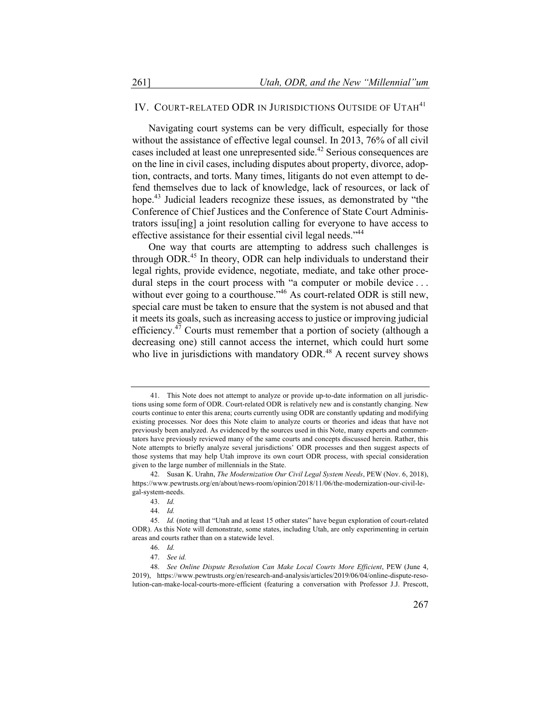## IV. COURT-RELATED ODR IN JURISDICTIONS OUTSIDE OF UTAH<sup>41</sup>

Navigating court systems can be very difficult, especially for those without the assistance of effective legal counsel. In 2013, 76% of all civil cases included at least one unrepresented side.<sup>42</sup> Serious consequences are on the line in civil cases, including disputes about property, divorce, adoption, contracts, and torts. Many times, litigants do not even attempt to defend themselves due to lack of knowledge, lack of resources, or lack of hope.<sup>43</sup> Judicial leaders recognize these issues, as demonstrated by "the Conference of Chief Justices and the Conference of State Court Administrators issu[ing] a joint resolution calling for everyone to have access to effective assistance for their essential civil legal needs."<sup>44</sup>

One way that courts are attempting to address such challenges is through ODR.<sup>45</sup> In theory, ODR can help individuals to understand their legal rights, provide evidence, negotiate, mediate, and take other procedural steps in the court process with "a computer or mobile device ... without ever going to a courthouse."<sup>46</sup> As court-related ODR is still new, special care must be taken to ensure that the system is not abused and that it meets its goals, such as increasing access to justice or improving judicial efficiency.<sup>47</sup> Courts must remember that a portion of society (although a decreasing one) still cannot access the internet, which could hurt some who live in jurisdictions with mandatory  $ODR<sup>48</sup>$  A recent survey shows

<sup>41.</sup> This Note does not attempt to analyze or provide up-to-date information on all jurisdictions using some form of ODR. Court-related ODR is relatively new and is constantly changing. New courts continue to enter this arena; courts currently using ODR are constantly updating and modifying existing processes. Nor does this Note claim to analyze courts or theories and ideas that have not previously been analyzed. As evidenced by the sources used in this Note, many experts and commentators have previously reviewed many of the same courts and concepts discussed herein. Rather, this Note attempts to briefly analyze several jurisdictions' ODR processes and then suggest aspects of those systems that may help Utah improve its own court ODR process, with special consideration given to the large number of millennials in the State.

<sup>42.</sup> Susan K. Urahn, *The Modernization Our Civil Legal System Needs*, PEW (Nov. 6, 2018), https://www.pewtrusts.org/en/about/news-room/opinion/2018/11/06/the-modernization-our-civil-legal-system-needs.

<sup>43.</sup> *Id.*

<sup>44.</sup> *Id.*

<sup>45.</sup> *Id.* (noting that "Utah and at least 15 other states" have begun exploration of court-related ODR). As this Note will demonstrate, some states, including Utah, are only experimenting in certain areas and courts rather than on a statewide level.

<sup>46.</sup> *Id.*

<sup>47.</sup> *See id.*

<sup>48.</sup> *See Online Dispute Resolution Can Make Local Courts More Efficient*, PEW (June 4, 2019), https://www.pewtrusts.org/en/research-and-analysis/articles/2019/06/04/online-dispute-resolution-can-make-local-courts-more-efficient (featuring a conversation with Professor J.J. Prescott,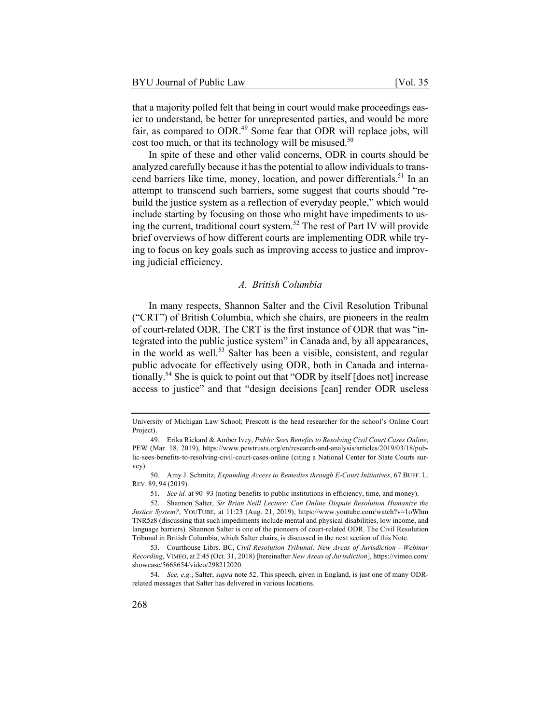that a majority polled felt that being in court would make proceedings easier to understand, be better for unrepresented parties, and would be more fair, as compared to ODR.<sup>49</sup> Some fear that ODR will replace jobs, will cost too much, or that its technology will be misused.<sup>50</sup>

In spite of these and other valid concerns, ODR in courts should be analyzed carefully because it has the potential to allow individuals to transcend barriers like time, money, location, and power differentials.<sup>51</sup> In an attempt to transcend such barriers, some suggest that courts should "rebuild the justice system as a reflection of everyday people," which would include starting by focusing on those who might have impediments to using the current, traditional court system.<sup>52</sup> The rest of Part IV will provide brief overviews of how different courts are implementing ODR while trying to focus on key goals such as improving access to justice and improving judicial efficiency.

#### *A. British Columbia*

In many respects, Shannon Salter and the Civil Resolution Tribunal ("CRT") of British Columbia, which she chairs, are pioneers in the realm of court-related ODR. The CRT is the first instance of ODR that was "integrated into the public justice system" in Canada and, by all appearances, in the world as well.<sup>53</sup> Salter has been a visible, consistent, and regular public advocate for effectively using ODR, both in Canada and internationally.54 She is quick to point out that "ODR by itself [does not] increase access to justice" and that "design decisions [can] render ODR useless

University of Michigan Law School; Prescott is the head researcher for the school's Online Court Project).

<sup>49.</sup> Erika Rickard & Amber Ivey, *Public Sees Benefits to Resolving Civil Court Cases Online*, PEW (Mar. 18, 2019), https://www.pewtrusts.org/en/research-and-analysis/articles/2019/03/18/public-sees-benefits-to-resolving-civil-court-cases-online (citing a National Center for State Courts survey).

<sup>50.</sup> Amy J. Schmitz, *Expanding Access to Remedies through E-Court Initiatives*, 67 BUFF. L. REV. 89, 94 (2019).

<sup>51.</sup> *See id.* at 90–93 (noting benefits to public institutions in efficiency, time, and money).

<sup>52.</sup> Shannon Salter, *Sir Brian Neill Lecture: Can Online Dispute Resolution Humanize the Justice System?*, YOUTUBE, at 11:23 (Aug. 21, 2019), https://www.youtube.com/watch?v=1oWhm TNR5z8 (discussing that such impediments include mental and physical disabilities, low income, and language barriers). Shannon Salter is one of the pioneers of court-related ODR. The Civil Resolution Tribunal in British Columbia, which Salter chairs, is discussed in the next section of this Note.

<sup>53.</sup> Courthouse Librs. BC, *Civil Resolution Tribunal: New Areas of Jurisdiction - Webinar Recording*, VIMEO, at 2:45 (Oct. 31, 2018) [hereinafter *New Areas of Jurisdiction*], https://vimeo.com/ showcase/5668654/video/298212020.

<sup>54.</sup> *See, e.g.*, Salter, *supra* note 52. This speech, given in England, is just one of many ODRrelated messages that Salter has delivered in various locations.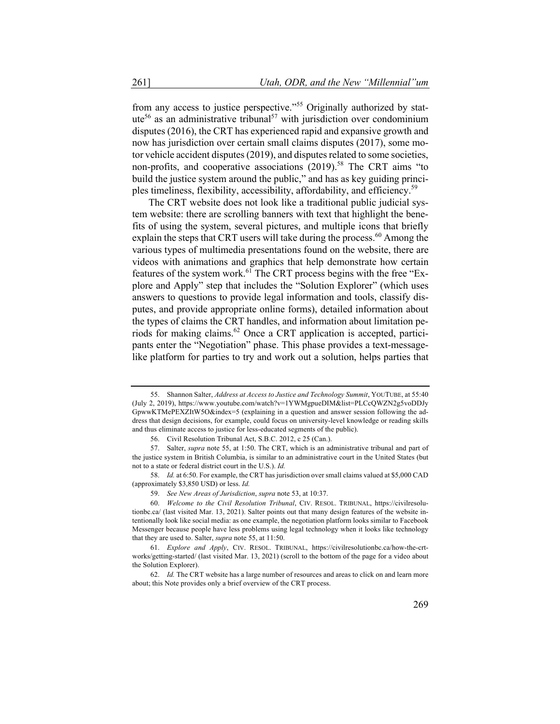from any access to justice perspective."<sup>55</sup> Originally authorized by statute<sup>56</sup> as an administrative tribunal<sup>57</sup> with jurisdiction over condominium disputes (2016), the CRT has experienced rapid and expansive growth and now has jurisdiction over certain small claims disputes (2017), some motor vehicle accident disputes (2019), and disputes related to some societies, non-profits, and cooperative associations  $(2019)$ <sup>58</sup> The CRT aims "to build the justice system around the public," and has as key guiding principles timeliness, flexibility, accessibility, affordability, and efficiency.<sup>59</sup>

The CRT website does not look like a traditional public judicial system website: there are scrolling banners with text that highlight the benefits of using the system, several pictures, and multiple icons that briefly explain the steps that CRT users will take during the process.<sup>60</sup> Among the various types of multimedia presentations found on the website, there are videos with animations and graphics that help demonstrate how certain features of the system work.<sup>61</sup> The CRT process begins with the free "Explore and Apply" step that includes the "Solution Explorer" (which uses answers to questions to provide legal information and tools, classify disputes, and provide appropriate online forms), detailed information about the types of claims the CRT handles, and information about limitation periods for making claims.<sup>62</sup> Once a CRT application is accepted, participants enter the "Negotiation" phase. This phase provides a text-messagelike platform for parties to try and work out a solution, helps parties that

<sup>55.</sup> Shannon Salter, *Address at Access to Justice and Technology Summit*, YOUTUBE, at 55:40 (July 2, 2019), https://www.youtube.com/watch?v=1YWMgpueDIM&list=PLCcQWZN2g5voDDJy GpwwKTMePEXZItW5O&index=5 (explaining in a question and answer session following the address that design decisions, for example, could focus on university-level knowledge or reading skills and thus eliminate access to justice for less-educated segments of the public).

<sup>56.</sup> Civil Resolution Tribunal Act, S.B.C. 2012, c 25 (Can.).

<sup>57.</sup> Salter, *supra* note 55, at 1:50. The CRT, which is an administrative tribunal and part of the justice system in British Columbia, is similar to an administrative court in the United States (but not to a state or federal district court in the U.S.). *Id.*

<sup>58.</sup> *Id.* at 6:50. For example, the CRT has jurisdiction over small claims valued at \$5,000 CAD (approximately \$3,850 USD) or less. *Id.*

<sup>59.</sup> *See New Areas of Jurisdiction*, *supra* note 53, at 10:37.

<sup>60.</sup> *Welcome to the Civil Resolution Tribunal*, CIV. RESOL. TRIBUNAL, https://civilresolutionbc.ca/ (last visited Mar. 13, 2021). Salter points out that many design features of the website intentionally look like social media: as one example, the negotiation platform looks similar to Facebook Messenger because people have less problems using legal technology when it looks like technology that they are used to. Salter, *supra* note 55, at 11:50.

<sup>61.</sup> *Explore and Apply*, CIV. RESOL. TRIBUNAL, https://civilresolutionbc.ca/how-the-crtworks/getting-started/ (last visited Mar. 13, 2021) (scroll to the bottom of the page for a video about the Solution Explorer).

<sup>62.</sup> *Id.* The CRT website has a large number of resources and areas to click on and learn more about; this Note provides only a brief overview of the CRT process.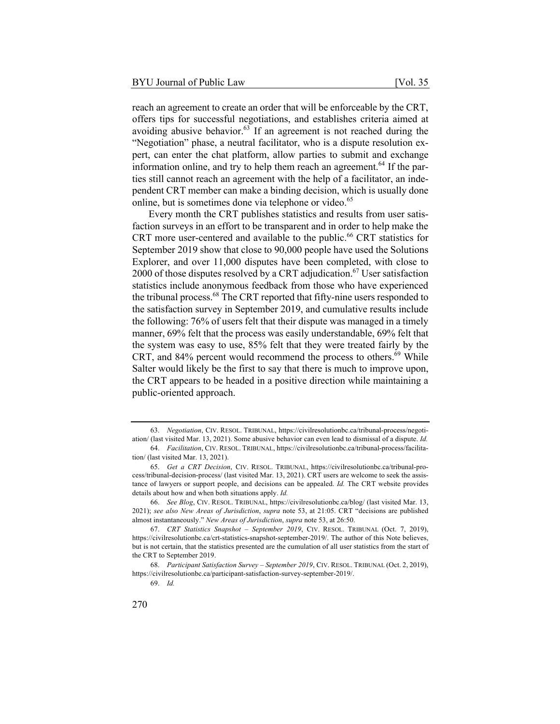reach an agreement to create an order that will be enforceable by the CRT, offers tips for successful negotiations, and establishes criteria aimed at avoiding abusive behavior. $63$  If an agreement is not reached during the "Negotiation" phase, a neutral facilitator, who is a dispute resolution expert, can enter the chat platform, allow parties to submit and exchange information online, and try to help them reach an agreement.<sup>64</sup> If the parties still cannot reach an agreement with the help of a facilitator, an independent CRT member can make a binding decision, which is usually done online, but is sometimes done via telephone or video.<sup>65</sup>

Every month the CRT publishes statistics and results from user satisfaction surveys in an effort to be transparent and in order to help make the CRT more user-centered and available to the public.<sup>66</sup> CRT statistics for September 2019 show that close to 90,000 people have used the Solutions Explorer, and over 11,000 disputes have been completed, with close to 2000 of those disputes resolved by a CRT adjudication.<sup>67</sup> User satisfaction statistics include anonymous feedback from those who have experienced the tribunal process.<sup>68</sup> The CRT reported that fifty-nine users responded to the satisfaction survey in September 2019, and cumulative results include the following: 76% of users felt that their dispute was managed in a timely manner, 69% felt that the process was easily understandable, 69% felt that the system was easy to use, 85% felt that they were treated fairly by the CRT, and  $84\%$  percent would recommend the process to others.<sup>69</sup> While Salter would likely be the first to say that there is much to improve upon, the CRT appears to be headed in a positive direction while maintaining a public-oriented approach.

<sup>63.</sup> *Negotiation*, CIV. RESOL. TRIBUNAL, https://civilresolutionbc.ca/tribunal-process/negotiation/ (last visited Mar. 13, 2021). Some abusive behavior can even lead to dismissal of a dispute. *Id.*

<sup>64.</sup> *Facilitation*, CIV. RESOL. TRIBUNAL, https://civilresolutionbc.ca/tribunal-process/facilitation/ (last visited Mar. 13, 2021).

<sup>65.</sup> *Get a CRT Decision*, CIV. RESOL. TRIBUNAL, https://civilresolutionbc.ca/tribunal-process/tribunal-decision-process/ (last visited Mar. 13, 2021). CRT users are welcome to seek the assistance of lawyers or support people, and decisions can be appealed. *Id.* The CRT website provides details about how and when both situations apply. *Id.*

<sup>66.</sup> *See Blog*, CIV. RESOL. TRIBUNAL, https://civilresolutionbc.ca/blog/ (last visited Mar. 13, 2021); *see also New Areas of Jurisdiction*, *supra* note 53, at 21:05. CRT "decisions are published almost instantaneously." *New Areas of Jurisdiction*, *supra* note 53, at 26:50.

<sup>67.</sup> *CRT Statistics Snapshot – September 2019*, CIV. RESOL. TRIBUNAL (Oct. 7, 2019), https://civilresolutionbc.ca/crt-statistics-snapshot-september-2019/. The author of this Note believes, but is not certain, that the statistics presented are the cumulation of all user statistics from the start of the CRT to September 2019.

<sup>68.</sup> *Participant Satisfaction Survey – September 2019*, CIV. RESOL. TRIBUNAL (Oct. 2, 2019), https://civilresolutionbc.ca/participant-satisfaction-survey-september-2019/.

<sup>69.</sup> *Id.*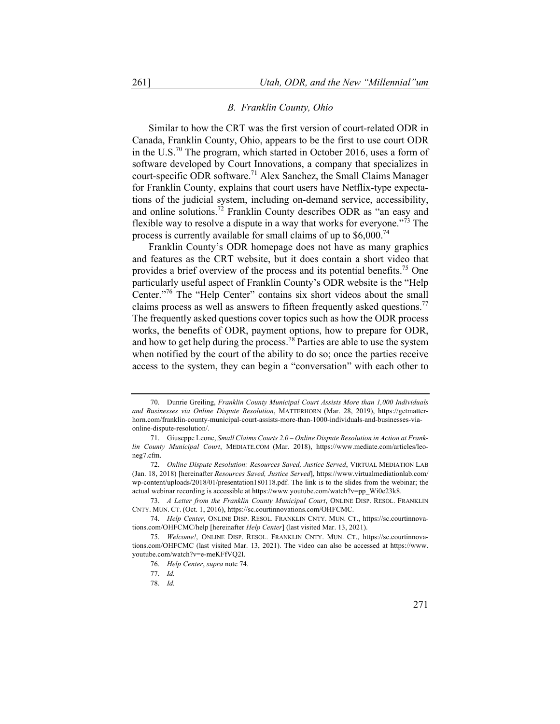#### *B. Franklin County, Ohio*

Similar to how the CRT was the first version of court-related ODR in Canada, Franklin County, Ohio, appears to be the first to use court ODR in the U.S.<sup>70</sup> The program, which started in October 2016, uses a form of software developed by Court Innovations, a company that specializes in court-specific ODR software.<sup>71</sup> Alex Sanchez, the Small Claims Manager for Franklin County, explains that court users have Netflix-type expectations of the judicial system, including on-demand service, accessibility, and online solutions.<sup>72</sup> Franklin County describes ODR as "an easy and flexible way to resolve a dispute in a way that works for everyone."<sup>73</sup> The process is currently available for small claims of up to  $$6,000$ .<sup>74</sup>

Franklin County's ODR homepage does not have as many graphics and features as the CRT website, but it does contain a short video that provides a brief overview of the process and its potential benefits.<sup>75</sup> One particularly useful aspect of Franklin County's ODR website is the "Help Center."76 The "Help Center" contains six short videos about the small claims process as well as answers to fifteen frequently asked questions.<sup>77</sup> The frequently asked questions cover topics such as how the ODR process works, the benefits of ODR, payment options, how to prepare for ODR, and how to get help during the process.<sup>78</sup> Parties are able to use the system when notified by the court of the ability to do so; once the parties receive access to the system, they can begin a "conversation" with each other to

<sup>70.</sup> Dunrie Greiling, *Franklin County Municipal Court Assists More than 1,000 Individuals and Businesses via Online Dispute Resolution*, MATTERHORN (Mar. 28, 2019), https://getmatterhorn.com/franklin-county-municipal-court-assists-more-than-1000-individuals-and-businesses-viaonline-dispute-resolution/.

<sup>71.</sup> Giuseppe Leone, *Small Claims Courts 2.0 – Online Dispute Resolution in Action at Franklin County Municipal Court*, MEDIATE.COM (Mar. 2018), https://www.mediate.com/articles/leoneg7.cfm.

<sup>72.</sup> *Online Dispute Resolution: Resources Saved, Justice Served*, VIRTUAL MEDIATION LAB (Jan. 18, 2018) [hereinafter *Resources Saved, Justice Served*], https://www.virtualmediationlab.com/ wp-content/uploads/2018/01/presentation180118.pdf. The link is to the slides from the webinar; the actual webinar recording is accessible at https://www.youtube.com/watch?v=pp\_Wi0e23k8.

<sup>73.</sup> *A Letter from the Franklin County Municipal Court*, ONLINE DISP. RESOL. FRANKLIN CNTY. MUN. CT. (Oct. 1, 2016), https://sc.courtinnovations.com/OHFCMC.

<sup>74.</sup> *Help Center*, ONLINE DISP. RESOL. FRANKLIN CNTY. MUN. CT., https://sc.courtinnovations.com/OHFCMC/help [hereinafter *Help Center*] (last visited Mar. 13, 2021).

<sup>75.</sup> *Welcome!*, ONLINE DISP. RESOL. FRANKLIN CNTY. MUN. CT., https://sc.courtinnovations.com/OHFCMC (last visited Mar. 13, 2021). The video can also be accessed at https://www. youtube.com/watch?v=e-meKFfVQ2I.

<sup>76.</sup> *Help Center*, *supra* note 74.

<sup>77.</sup> *Id.*

<sup>78.</sup> *Id.*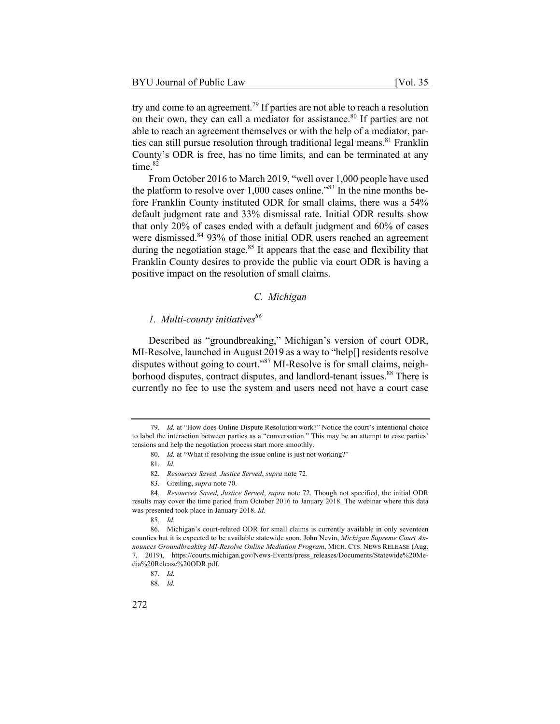try and come to an agreement.<sup>79</sup> If parties are not able to reach a resolution on their own, they can call a mediator for assistance.<sup>80</sup> If parties are not able to reach an agreement themselves or with the help of a mediator, parties can still pursue resolution through traditional legal means.<sup>81</sup> Franklin County's ODR is free, has no time limits, and can be terminated at any time. $82$ 

From October 2016 to March 2019, "well over 1,000 people have used the platform to resolve over  $1,000$  cases online.<sup>383</sup> In the nine months before Franklin County instituted ODR for small claims, there was a 54% default judgment rate and 33% dismissal rate. Initial ODR results show that only 20% of cases ended with a default judgment and 60% of cases were dismissed.<sup>84</sup> 93% of those initial ODR users reached an agreement during the negotiation stage.<sup>85</sup> It appears that the ease and flexibility that Franklin County desires to provide the public via court ODR is having a positive impact on the resolution of small claims.

## *C. Michigan*

# *1. Multi-county initiatives*<sup>86</sup>

Described as "groundbreaking," Michigan's version of court ODR, MI-Resolve, launched in August 2019 as a way to "help[] residents resolve disputes without going to court."<sup>87</sup> MI-Resolve is for small claims, neighborhood disputes, contract disputes, and landlord-tenant issues.<sup>88</sup> There is currently no fee to use the system and users need not have a court case

81. *Id.*

83. Greiling, *supra* note 70.

<sup>79.</sup> *Id.* at "How does Online Dispute Resolution work?" Notice the court's intentional choice to label the interaction between parties as a "conversation." This may be an attempt to ease parties' tensions and help the negotiation process start more smoothly.

<sup>80.</sup> *Id.* at "What if resolving the issue online is just not working?"

<sup>82.</sup> *Resources Saved, Justice Served*, *supra* note 72.

<sup>84.</sup> *Resources Saved, Justice Served*, *supra* note 72. Though not specified, the initial ODR results may cover the time period from October 2016 to January 2018. The webinar where this data was presented took place in January 2018. *Id.*

<sup>85.</sup> *Id.*

<sup>86.</sup> Michigan's court-related ODR for small claims is currently available in only seventeen counties but it is expected to be available statewide soon. John Nevin, *Michigan Supreme Court Announces Groundbreaking MI-Resolve Online Mediation Program*, MICH. CTS. NEWS RELEASE (Aug. 7, 2019), https://courts.michigan.gov/News-Events/press\_releases/Documents/Statewide%20Media%20Release%20ODR.pdf.

<sup>87.</sup> *Id.*

<sup>88.</sup> *Id.*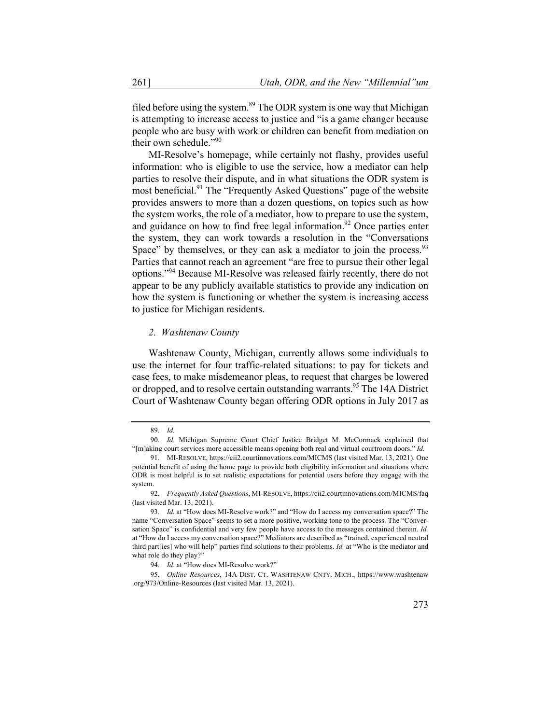filed before using the system.<sup>89</sup> The ODR system is one way that Michigan is attempting to increase access to justice and "is a game changer because people who are busy with work or children can benefit from mediation on their own schedule."<sup>90</sup>

MI-Resolve's homepage, while certainly not flashy, provides useful information: who is eligible to use the service, how a mediator can help parties to resolve their dispute, and in what situations the ODR system is most beneficial.<sup>91</sup> The "Frequently Asked Questions" page of the website provides answers to more than a dozen questions, on topics such as how the system works, the role of a mediator, how to prepare to use the system, and guidance on how to find free legal information.<sup>92</sup> Once parties enter the system, they can work towards a resolution in the "Conversations Space" by themselves, or they can ask a mediator to join the process.  $93$ Parties that cannot reach an agreement "are free to pursue their other legal options."<sup>94</sup> Because MI-Resolve was released fairly recently, there do not appear to be any publicly available statistics to provide any indication on how the system is functioning or whether the system is increasing access to justice for Michigan residents.

#### *2. Washtenaw County*

Washtenaw County, Michigan, currently allows some individuals to use the internet for four traffic-related situations: to pay for tickets and case fees, to make misdemeanor pleas, to request that charges be lowered or dropped, and to resolve certain outstanding warrants.<sup>95</sup> The 14A District Court of Washtenaw County began offering ODR options in July 2017 as

<sup>89.</sup> *Id.*

<sup>90.</sup> *Id.* Michigan Supreme Court Chief Justice Bridget M. McCormack explained that "[m]aking court services more accessible means opening both real and virtual courtroom doors." *Id.*

<sup>91.</sup> MI-RESOLVE, https://cii2.courtinnovations.com/MICMS (last visited Mar. 13, 2021). One potential benefit of using the home page to provide both eligibility information and situations where ODR is most helpful is to set realistic expectations for potential users before they engage with the system.

<sup>92.</sup> *Frequently Asked Questions*, MI-RESOLVE, https://cii2.courtinnovations.com/MICMS/faq (last visited Mar. 13, 2021).

<sup>93.</sup> *Id.* at "How does MI-Resolve work?" and "How do I access my conversation space?" The name "Conversation Space" seems to set a more positive, working tone to the process. The "Conversation Space" is confidential and very few people have access to the messages contained therein. *Id.*  at "How do I access my conversation space?" Mediators are described as "trained, experienced neutral third part[ies] who will help" parties find solutions to their problems. *Id.* at "Who is the mediator and what role do they play?"

<sup>94.</sup> *Id.* at "How does MI-Resolve work?"

<sup>95.</sup> *Online Resources*, 14A DIST. CT. WASHTENAW CNTY. MICH., https://www.washtenaw .org/973/Online-Resources (last visited Mar. 13, 2021).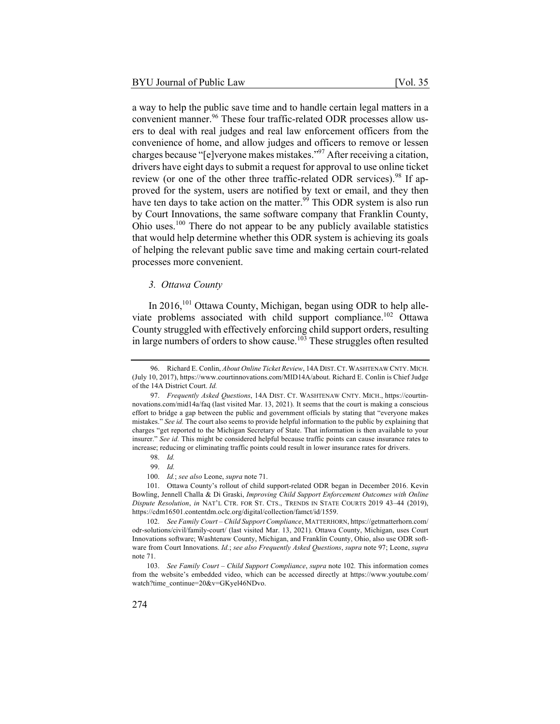a way to help the public save time and to handle certain legal matters in a convenient manner.<sup>96</sup> These four traffic-related ODR processes allow users to deal with real judges and real law enforcement officers from the convenience of home, and allow judges and officers to remove or lessen charges because "[e]veryone makes mistakes."<sup>97</sup> After receiving a citation, drivers have eight days to submit a request for approval to use online ticket review (or one of the other three traffic-related ODR services).<sup>98</sup> If approved for the system, users are notified by text or email, and they then have ten days to take action on the matter.<sup>99</sup> This ODR system is also run by Court Innovations, the same software company that Franklin County, Ohio uses.<sup>100</sup> There do not appear to be any publicly available statistics that would help determine whether this ODR system is achieving its goals of helping the relevant public save time and making certain court-related processes more convenient.

## *3. Ottawa County*

In 2016,<sup>101</sup> Ottawa County, Michigan, began using ODR to help alleviate problems associated with child support compliance.<sup>102</sup> Ottawa County struggled with effectively enforcing child support orders, resulting in large numbers of orders to show cause.<sup>103</sup> These struggles often resulted

<sup>96.</sup> Richard E. Conlin, *About Online Ticket Review*, 14A DIST.CT. WASHTENAW CNTY. MICH. (July 10, 2017), https://www.courtinnovations.com/MID14A/about. Richard E. Conlin is Chief Judge of the 14A District Court. *Id.*

<sup>97.</sup> *Frequently Asked Questions*, 14A DIST. CT. WASHTENAW CNTY. MICH., https://courtinnovations.com/mid14a/faq (last visited Mar. 13, 2021). It seems that the court is making a conscious effort to bridge a gap between the public and government officials by stating that "everyone makes mistakes." *See id.* The court also seems to provide helpful information to the public by explaining that charges "get reported to the Michigan Secretary of State. That information is then available to your insurer." *See id.* This might be considered helpful because traffic points can cause insurance rates to increase; reducing or eliminating traffic points could result in lower insurance rates for drivers.

<sup>98.</sup> *Id.*

<sup>99.</sup> *Id.*

<sup>100.</sup> *Id.*; *see also* Leone, *supra* note 71.

<sup>101.</sup> Ottawa County's rollout of child support-related ODR began in December 2016. Kevin Bowling, Jennell Challa & Di Graski, *Improving Child Support Enforcement Outcomes with Online Dispute Resolution*, *in* NAT'L CTR. FOR ST. CTS., TRENDS IN STATE COURTS 2019 43–44 (2019), https://cdm16501.contentdm.oclc.org/digital/collection/famct/id/1559.

<sup>102.</sup> *See Family Court – Child Support Compliance*, MATTERHORN, https://getmatterhorn.com/ odr-solutions/civil/family-court/ (last visited Mar. 13, 2021). Ottawa County, Michigan, uses Court Innovations software; Washtenaw County, Michigan, and Franklin County, Ohio, also use ODR software from Court Innovations. *Id.*; *see also Frequently Asked Questions*, *supra* note 97; Leone, *supra*  note 71.

<sup>103.</sup> *See Family Court – Child Support Compliance*, *supra* note 102*.* This information comes from the website's embedded video, which can be accessed directly at https://www.youtube.com/ watch?time\_continue=20&v=GKyel46NDvo.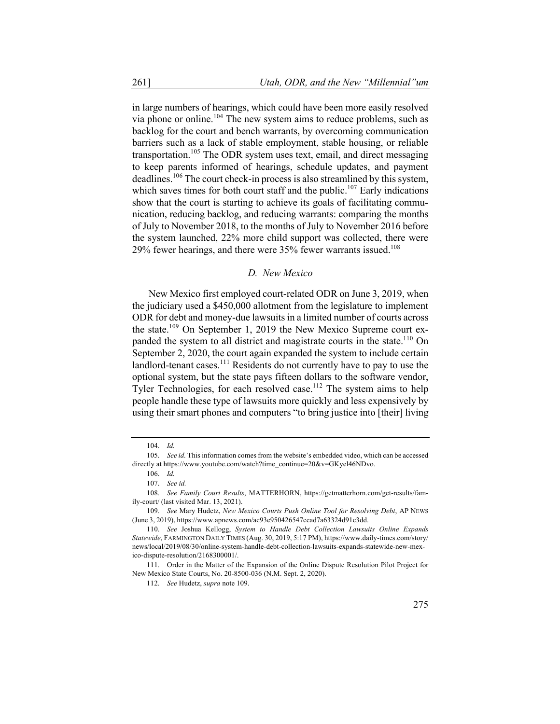in large numbers of hearings, which could have been more easily resolved via phone or online.<sup>104</sup> The new system aims to reduce problems, such as backlog for the court and bench warrants, by overcoming communication barriers such as a lack of stable employment, stable housing, or reliable transportation.<sup>105</sup> The ODR system uses text, email, and direct messaging to keep parents informed of hearings, schedule updates, and payment deadlines.<sup>106</sup> The court check-in process is also streamlined by this system, which saves times for both court staff and the public.<sup>107</sup> Early indications show that the court is starting to achieve its goals of facilitating communication, reducing backlog, and reducing warrants: comparing the months of July to November 2018, to the months of July to November 2016 before the system launched, 22% more child support was collected, there were  $29\%$  fewer hearings, and there were 35% fewer warrants issued.<sup>108</sup>

#### *D. New Mexico*

New Mexico first employed court-related ODR on June 3, 2019, when the judiciary used a \$450,000 allotment from the legislature to implement ODR for debt and money-due lawsuits in a limited number of courts across the state.<sup>109</sup> On September 1, 2019 the New Mexico Supreme court expanded the system to all district and magistrate courts in the state.<sup>110</sup> On September 2, 2020, the court again expanded the system to include certain landlord-tenant cases.<sup>111</sup> Residents do not currently have to pay to use the optional system, but the state pays fifteen dollars to the software vendor, Tyler Technologies, for each resolved case.<sup>112</sup> The system aims to help people handle these type of lawsuits more quickly and less expensively by using their smart phones and computers "to bring justice into [their] living

<sup>104.</sup> *Id.*

<sup>105.</sup> *See id.* This information comes from the website's embedded video, which can be accessed directly at https://www.youtube.com/watch?time\_continue=20&v=GKyel46NDvo.

<sup>106.</sup> *Id.*

<sup>107.</sup> *See id.*

<sup>108.</sup> *See Family Court Results*, MATTERHORN, https://getmatterhorn.com/get-results/family-court/ (last visited Mar. 13, 2021).

<sup>109.</sup> *See* Mary Hudetz, *New Mexico Courts Push Online Tool for Resolving Debt*, AP NEWS (June 3, 2019), https://www.apnews.com/ac93e950426547ccad7a63324d91c3dd.

<sup>110.</sup> *See* Joshua Kellogg, *System to Handle Debt Collection Lawsuits Online Expands Statewide*, FARMINGTON DAILY TIMES (Aug. 30, 2019, 5:17 PM), https://www.daily-times.com/story/ news/local/2019/08/30/online-system-handle-debt-collection-lawsuits-expands-statewide-new-mexico-dispute-resolution/2168300001/.

<sup>111.</sup> Order in the Matter of the Expansion of the Online Dispute Resolution Pilot Project for New Mexico State Courts, No. 20-8500-036 (N.M. Sept. 2, 2020).

<sup>112.</sup> *See* Hudetz, *supra* note 109.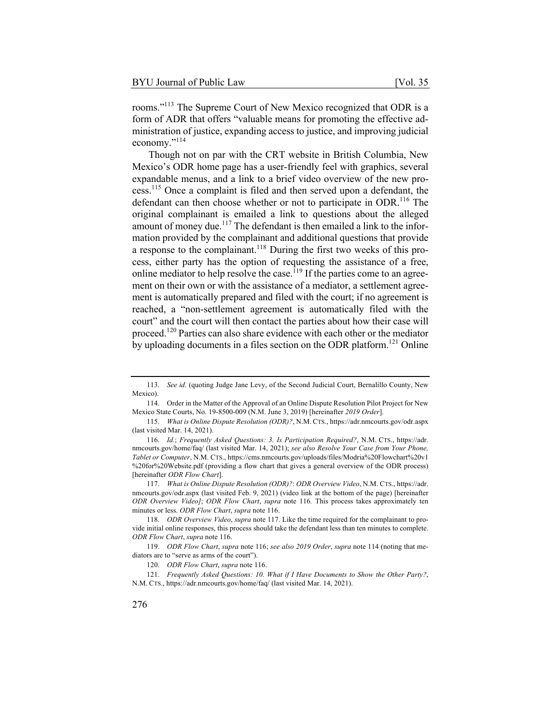rooms."113 The Supreme Court of New Mexico recognized that ODR is a form of ADR that offers "valuable means for promoting the effective administration of justice, expanding access to justice, and improving judicial economy."<sup>114</sup>

Though not on par with the CRT website in British Columbia, New Mexico's ODR home page has a user-friendly feel with graphics, several expandable menus, and a link to a brief video overview of the new process.<sup>115</sup> Once a complaint is filed and then served upon a defendant, the defendant can then choose whether or not to participate in ODR.<sup>116</sup> The original complainant is emailed a link to questions about the alleged amount of money due.<sup>117</sup> The defendant is then emailed a link to the information provided by the complainant and additional questions that provide a response to the complainant.<sup>118</sup> During the first two weeks of this process, either party has the option of requesting the assistance of a free, online mediator to help resolve the case.<sup>119</sup> If the parties come to an agreement on their own or with the assistance of a mediator, a settlement agreement is automatically prepared and filed with the court; if no agreement is reached, a "non-settlement agreement is automatically filed with the court" and the court will then contact the parties about how their case will proceed.<sup>120</sup> Parties can also share evidence with each other or the mediator by uploading documents in a files section on the ODR platform.<sup>121</sup> Online

<sup>113.</sup> *See id.* (quoting Judge Jane Levy, of the Second Judicial Court, Bernalillo County, New Mexico).

<sup>114.</sup> Order in the Matter of the Approval of an Online Dispute Resolution Pilot Project for New Mexico State Courts, No. 19-8500-009 (N.M. June 3, 2019) [hereinafter *2019 Order*].

<sup>115.</sup> *What is Online Dispute Resolution (ODR)?*, N.M. CTS., https://adr.nmcourts.gov/odr.aspx (last visited Mar. 14, 2021).

<sup>116.</sup> *Id.*; *Frequently Asked Questions: 3. Is Participation Required?*, N.M. CTS., https://adr. nmcourts.gov/home/faq/ (last visited Mar. 14, 2021); *see also Resolve Your Case from Your Phone, Tablet or Computer*, N.M. CTS., https://cms.nmcourts.gov/uploads/files/Modria%20Flowchart%20v1 %20for%20Website.pdf (providing a flow chart that gives a general overview of the ODR process) [hereinafter *ODR Flow Chart*].

<sup>117.</sup> *What is Online Dispute Resolution (ODR)?*: *ODR Overview Video*, N.M. CTS., https://adr. nmcourts.gov/odr.aspx (last visited Feb. 9, 2021) (video link at the bottom of the page) [hereinafter *ODR Overview Video]*; *ODR Flow Chart*, *supra* note 116*.* This process takes approximately ten minutes or less. *ODR Flow Chart*, *supra* note 116.

<sup>118.</sup> *ODR Overview Video*, *supra* note 117. Like the time required for the complainant to provide initial online responses, this process should take the defendant less than ten minutes to complete. *ODR Flow Chart*, *supra* note 116.

<sup>119.</sup> *ODR Flow Chart*, *supra* note 116; *see also 2019 Order*, *supra* note 114 (noting that mediators are to "serve as arms of the court").

<sup>120.</sup> *ODR Flow Chart*, *supra* note 116.

<sup>121.</sup> *Frequently Asked Questions: 10. What if I Have Documents to Show the Other Party?*, N.M. CTS., https://adr.nmcourts.gov/home/faq/ (last visited Mar. 14, 2021).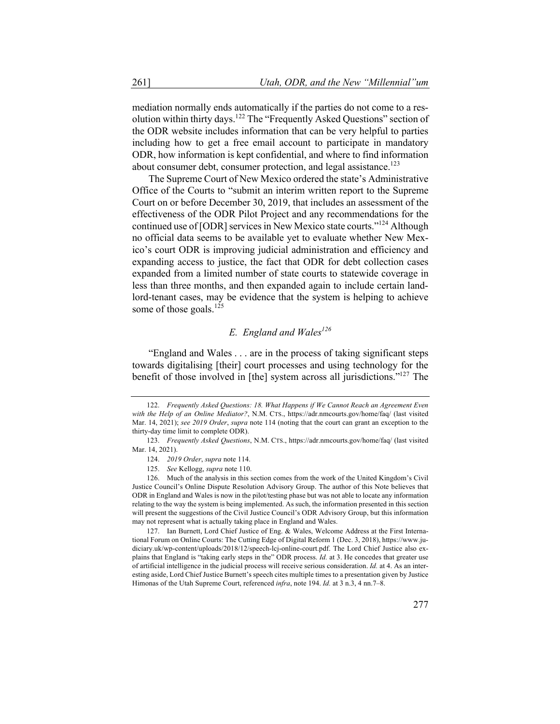mediation normally ends automatically if the parties do not come to a resolution within thirty days.<sup>122</sup> The "Frequently Asked Questions" section of the ODR website includes information that can be very helpful to parties including how to get a free email account to participate in mandatory ODR, how information is kept confidential, and where to find information about consumer debt, consumer protection, and legal assistance.<sup>123</sup>

The Supreme Court of New Mexico ordered the state's Administrative Office of the Courts to "submit an interim written report to the Supreme Court on or before December 30, 2019, that includes an assessment of the effectiveness of the ODR Pilot Project and any recommendations for the continued use of [ODR] services in New Mexico state courts."124 Although no official data seems to be available yet to evaluate whether New Mexico's court ODR is improving judicial administration and efficiency and expanding access to justice, the fact that ODR for debt collection cases expanded from a limited number of state courts to statewide coverage in less than three months, and then expanded again to include certain landlord-tenant cases, may be evidence that the system is helping to achieve some of those goals. $^{125}$ 

# *E. England and Wales126*

"England and Wales . . . are in the process of taking significant steps towards digitalising [their] court processes and using technology for the benefit of those involved in [the] system across all jurisdictions."127 The

<sup>122.</sup> *Frequently Asked Questions: 18. What Happens if We Cannot Reach an Agreement Even with the Help of an Online Mediator?*, N.M. CTS., https://adr.nmcourts.gov/home/faq/ (last visited Mar. 14, 2021); *see 2019 Order*, *supra* note 114 (noting that the court can grant an exception to the thirty-day time limit to complete ODR).

<sup>123.</sup> *Frequently Asked Questions*, N.M. CTS., https://adr.nmcourts.gov/home/faq/ (last visited Mar. 14, 2021).

<sup>124.</sup> *2019 Order*, *supra* note 114.

<sup>125.</sup> *See* Kellogg, *supra* note 110.

<sup>126.</sup> Much of the analysis in this section comes from the work of the United Kingdom's Civil Justice Council's Online Dispute Resolution Advisory Group. The author of this Note believes that ODR in England and Wales is now in the pilot/testing phase but was not able to locate any information relating to the way the system is being implemented. As such, the information presented in this section will present the suggestions of the Civil Justice Council's ODR Advisory Group, but this information may not represent what is actually taking place in England and Wales.

<sup>127.</sup> Ian Burnett, Lord Chief Justice of Eng. & Wales, Welcome Address at the First International Forum on Online Courts: The Cutting Edge of Digital Reform 1 (Dec. 3, 2018), https://www.judiciary.uk/wp-content/uploads/2018/12/speech-lcj-online-court.pdf. The Lord Chief Justice also explains that England is "taking early steps in the" ODR process. *Id.* at 3. He concedes that greater use of artificial intelligence in the judicial process will receive serious consideration. *Id.* at 4. As an interesting aside, Lord Chief Justice Burnett's speech cites multiple times to a presentation given by Justice Himonas of the Utah Supreme Court, referenced *infra*, note 194. *Id.* at 3 n.3, 4 nn.7–8.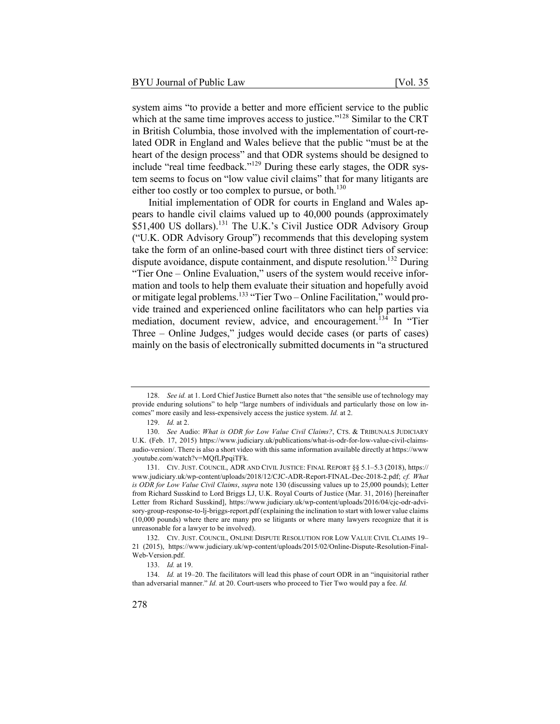system aims "to provide a better and more efficient service to the public which at the same time improves access to justice."<sup>128</sup> Similar to the CRT in British Columbia, those involved with the implementation of court-related ODR in England and Wales believe that the public "must be at the heart of the design process" and that ODR systems should be designed to include "real time feedback."<sup>129</sup> During these early stages, the ODR system seems to focus on "low value civil claims" that for many litigants are either too costly or too complex to pursue, or both.<sup>130</sup>

Initial implementation of ODR for courts in England and Wales appears to handle civil claims valued up to 40,000 pounds (approximately \$51,400 US dollars).<sup>131</sup> The U.K.'s Civil Justice ODR Advisory Group ("U.K. ODR Advisory Group") recommends that this developing system take the form of an online-based court with three distinct tiers of service: dispute avoidance, dispute containment, and dispute resolution.<sup>132</sup> During "Tier One – Online Evaluation," users of the system would receive information and tools to help them evaluate their situation and hopefully avoid or mitigate legal problems.<sup>133</sup> "Tier Two – Online Facilitation," would provide trained and experienced online facilitators who can help parties via mediation, document review, advice, and encouragement.<sup>134</sup> In "Tier Three – Online Judges," judges would decide cases (or parts of cases) mainly on the basis of electronically submitted documents in "a structured

<sup>128.</sup> *See id.* at 1. Lord Chief Justice Burnett also notes that "the sensible use of technology may provide enduring solutions" to help "large numbers of individuals and particularly those on low incomes" more easily and less-expensively access the justice system. *Id.* at 2.

<sup>129.</sup> *Id.* at 2.

<sup>130.</sup> *See* Audio: *What is ODR for Low Value Civil Claims?*, CTS. & TRIBUNALS JUDICIARY U.K. (Feb. 17, 2015) https://www.judiciary.uk/publications/what-is-odr-for-low-value-civil-claimsaudio-version/. There is also a short video with this same information available directly at https://www .youtube.com/watch?v=MQfLPpqiTFk.

<sup>131.</sup> CIV. JUST. COUNCIL, ADR AND CIVIL JUSTICE: FINAL REPORT §§ 5.1–5.3 (2018), https:// www.judiciary.uk/wp-content/uploads/2018/12/CJC-ADR-Report-FINAL-Dec-2018-2.pdf; *cf. What is ODR for Low Value Civil Claims*, *supra* note 130 (discussing values up to 25,000 pounds); Letter from Richard Susskind to Lord Briggs LJ, U.K. Royal Courts of Justice (Mar. 31, 2016) [hereinafter Letter from Richard Susskind], https://www.judiciary.uk/wp-content/uploads/2016/04/cjc-odr-advisory-group-response-to-lj-briggs-report.pdf (explaining the inclination to start with lower value claims (10,000 pounds) where there are many pro se litigants or where many lawyers recognize that it is unreasonable for a lawyer to be involved).

<sup>132.</sup> CIV. JUST. COUNCIL, ONLINE DISPUTE RESOLUTION FOR LOW VALUE CIVIL CLAIMS 19– 21 (2015), https://www.judiciary.uk/wp-content/uploads/2015/02/Online-Dispute-Resolution-Final-Web-Version.pdf.

<sup>133.</sup> *Id.* at 19.

<sup>134.</sup> *Id.* at 19–20. The facilitators will lead this phase of court ODR in an "inquisitorial rather than adversarial manner." *Id.* at 20. Court-users who proceed to Tier Two would pay a fee. *Id.*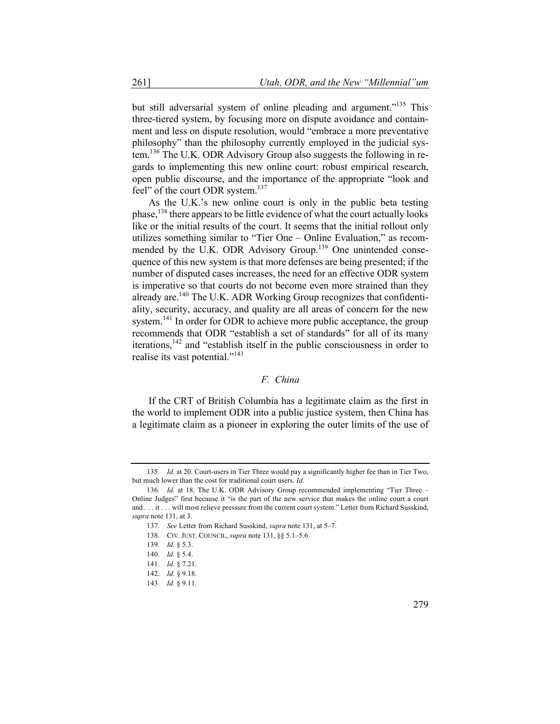but still adversarial system of online pleading and argument."<sup>135</sup> This three-tiered system, by focusing more on dispute avoidance and containment and less on dispute resolution, would "embrace a more preventative philosophy" than the philosophy currently employed in the judicial system.<sup>136</sup> The U.K. ODR Advisory Group also suggests the following in regards to implementing this new online court: robust empirical research, open public discourse, and the importance of the appropriate "look and feel" of the court ODR system.<sup>137</sup>

As the U.K.'s new online court is only in the public beta testing phase,  $^{138}$  there appears to be little evidence of what the court actually looks like or the initial results of the court. It seems that the initial rollout only utilizes something similar to "Tier One – Online Evaluation," as recommended by the U.K. ODR Advisory Group.<sup>139</sup> One unintended consequence of this new system is that more defenses are being presented; if the number of disputed cases increases, the need for an effective ODR system is imperative so that courts do not become even more strained than they already are.<sup>140</sup> The U.K. ADR Working Group recognizes that confidentiality, security, accuracy, and quality are all areas of concern for the new system.<sup>141</sup> In order for ODR to achieve more public acceptance, the group recommends that ODR "establish a set of standards" for all of its many iterations,  $142$  and "establish itself in the public consciousness in order to realise its vast potential."<sup>143</sup>

## *F. China*

If the CRT of British Columbia has a legitimate claim as the first in the world to implement ODR into a public justice system, then China has a legitimate claim as a pioneer in exploring the outer limits of the use of

<sup>135.</sup> *Id.* at 20. Court-users in Tier Three would pay a significantly higher fee than in Tier Two, but much lower than the cost for traditional court users. *Id.*

<sup>136.</sup> *Id.* at 18. The U.K. ODR Advisory Group recommended implementing "Tier Three – Online Judges" first because it "is the part of the new service that makes the online court a court and . . . it . . . will most relieve pressure from the current court system." Letter from Richard Susskind, *supra* note 131, at 3.

<sup>137.</sup> *See* Letter from Richard Susskind, *supra* note 131, at 5–7.

<sup>138.</sup> CIV. JUST. COUNCIL, *supra* note 131, §§ 5.1–5.6.

<sup>139.</sup> *Id.* § 5.3.

<sup>140.</sup> *Id.* § 5.4.

<sup>141.</sup> *Id.* § 7.21.

<sup>142.</sup> *Id.* § 9.18.

<sup>143.</sup> *Id.* § 9.11.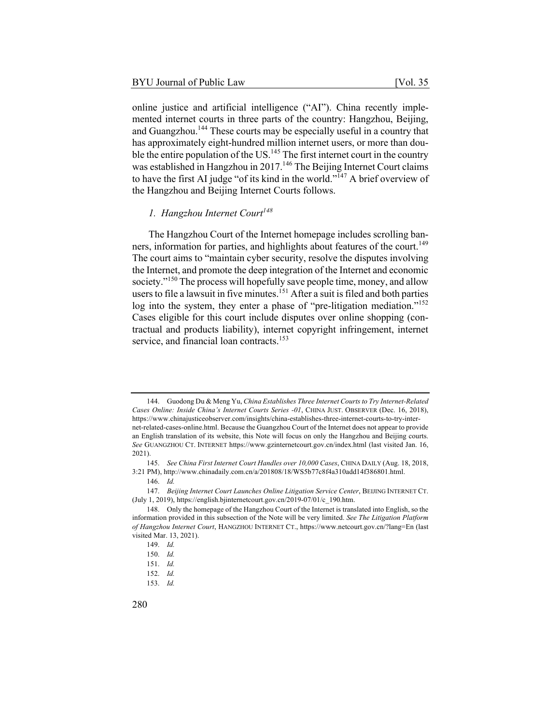online justice and artificial intelligence ("AI"). China recently implemented internet courts in three parts of the country: Hangzhou, Beijing, and Guangzhou.<sup>144</sup> These courts may be especially useful in a country that has approximately eight-hundred million internet users, or more than double the entire population of the US.<sup>145</sup> The first internet court in the country was established in Hangzhou in 2017.<sup>146</sup> The Beijing Internet Court claims to have the first AI judge "of its kind in the world."<sup>147</sup> A brief overview of the Hangzhou and Beijing Internet Courts follows.

# *1. Hangzhou Internet Court<sup>148</sup>*

The Hangzhou Court of the Internet homepage includes scrolling banners, information for parties, and highlights about features of the court.<sup>149</sup> The court aims to "maintain cyber security, resolve the disputes involving the Internet, and promote the deep integration of the Internet and economic society."<sup>150</sup> The process will hopefully save people time, money, and allow users to file a lawsuit in five minutes.<sup>151</sup> After a suit is filed and both parties log into the system, they enter a phase of "pre-litigation mediation."<sup>152</sup> Cases eligible for this court include disputes over online shopping (contractual and products liability), internet copyright infringement, internet service, and financial loan contracts.<sup>153</sup>

<sup>144.</sup> Guodong Du & Meng Yu, *China Establishes Three Internet Courts to Try Internet-Related Cases Online: Inside China's Internet Courts Series -01*, CHINA JUST. OBSERVER (Dec. 16, 2018), https://www.chinajusticeobserver.com/insights/china-establishes-three-internet-courts-to-try-internet-related-cases-online.html. Because the Guangzhou Court of the Internet does not appear to provide an English translation of its website, this Note will focus on only the Hangzhou and Beijing courts. *See* GUANGZHOU CT. INTERNET https://www.gzinternetcourt.gov.cn/index.html (last visited Jan. 16, 2021).

<sup>145.</sup> *See China First Internet Court Handles over 10,000 Cases*, CHINA DAILY (Aug. 18, 2018, 3:21 PM), http://www.chinadaily.com.cn/a/201808/18/WS5b77c8f4a310add14f386801.html.

<sup>146.</sup> *Id.*

<sup>147.</sup> *Beijing Internet Court Launches Online Litigation Service Center*, BEIJING INTERNET CT. (July 1, 2019), https://english.bjinternetcourt.gov.cn/2019-07/01/c\_190.htm.

<sup>148.</sup> Only the homepage of the Hangzhou Court of the Internet is translated into English, so the information provided in this subsection of the Note will be very limited. *See The Litigation Platform of Hangzhou Internet Court*, HANGZHOU INTERNET CT., https://www.netcourt.gov.cn/?lang=En (last visited Mar. 13, 2021).

<sup>149.</sup> *Id.*

<sup>150.</sup> *Id.*

<sup>151.</sup> *Id.*

<sup>152.</sup> *Id.*

<sup>153.</sup> *Id.*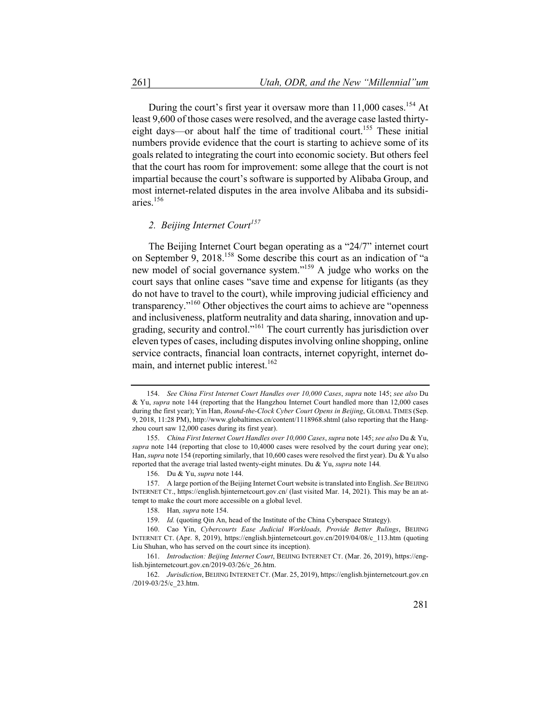During the court's first year it oversaw more than 11,000 cases.<sup>154</sup> At least 9,600 of those cases were resolved, and the average case lasted thirtyeight days—or about half the time of traditional court.<sup>155</sup> These initial numbers provide evidence that the court is starting to achieve some of its goals related to integrating the court into economic society. But others feel that the court has room for improvement: some allege that the court is not impartial because the court's software is supported by Alibaba Group, and most internet-related disputes in the area involve Alibaba and its subsidiaries.156

# *2. Beijing Internet Court<sup>157</sup>*

The Beijing Internet Court began operating as a "24/7" internet court on September 9, 2018.158 Some describe this court as an indication of "a new model of social governance system."159 A judge who works on the court says that online cases "save time and expense for litigants (as they do not have to travel to the court), while improving judicial efficiency and transparency."<sup>160</sup> Other objectives the court aims to achieve are "openness" and inclusiveness, platform neutrality and data sharing, innovation and upgrading, security and control."<sup>161</sup> The court currently has jurisdiction over eleven types of cases, including disputes involving online shopping, online service contracts, financial loan contracts, internet copyright, internet domain, and internet public interest.<sup>162</sup>

<sup>154.</sup> *See China First Internet Court Handles over 10,000 Cases*, *supra* note 145; *see also* Du & Yu, *supra* note 144 (reporting that the Hangzhou Internet Court handled more than 12,000 cases during the first year); Yin Han, *Round-the-Clock Cyber Court Opens in Beijing*, GLOBAL TIMES (Sep. 9, 2018, 11:28 PM), http://www.globaltimes.cn/content/1118968.shtml (also reporting that the Hangzhou court saw 12,000 cases during its first year).

<sup>155.</sup> *China First Internet Court Handles over 10,000 Cases*, *supra* note 145; *see also* Du & Yu, *supra* note 144 (reporting that close to 10,4000 cases were resolved by the court during year one); Han, *supra* note 154 (reporting similarly, that 10,600 cases were resolved the first year). Du & Yu also reported that the average trial lasted twenty-eight minutes. Du & Yu, *supra* note 144*.*

<sup>156.</sup> Du & Yu, *supra* note 144.

<sup>157.</sup> A large portion of the Beijing Internet Court website is translated into English. *See* BEIJING INTERNET CT., https://english.bjinternetcourt.gov.cn/ (last visited Mar. 14, 2021). This may be an attempt to make the court more accessible on a global level.

<sup>158.</sup> Han*, supra* note 154.

<sup>159.</sup> *Id.* (quoting Qin An, head of the Institute of the China Cyberspace Strategy).

<sup>160.</sup> Cao Yin, *Cybercourts Ease Judicial Workloads, Provide Better Rulings*, BEIJING INTERNET CT. (Apr. 8, 2019), https://english.bjinternetcourt.gov.cn/2019/04/08/c\_113.htm (quoting Liu Shuhan, who has served on the court since its inception).

<sup>161.</sup> *Introduction: Beijing Internet Court*, BEIJING INTERNET CT. (Mar. 26, 2019), https://english.bjinternetcourt.gov.cn/2019-03/26/c\_26.htm.

<sup>162.</sup> *Jurisdiction*, BEIJING INTERNET CT. (Mar. 25, 2019), https://english.bjinternetcourt.gov.cn /2019-03/25/c\_23.htm.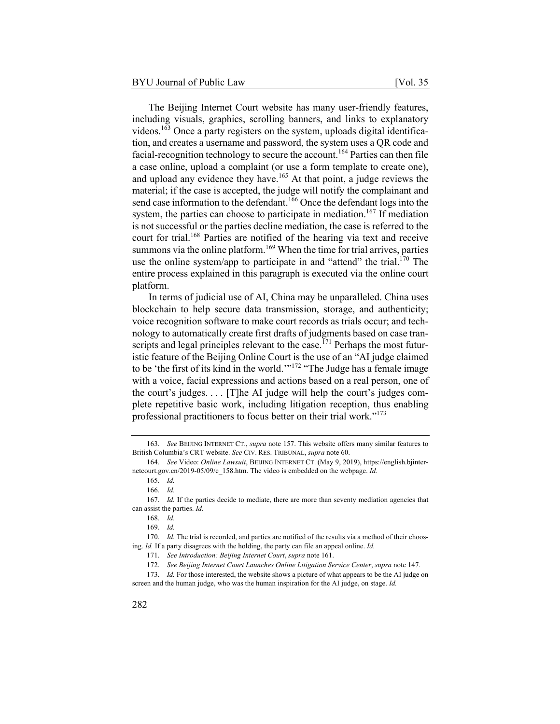The Beijing Internet Court website has many user-friendly features, including visuals, graphics, scrolling banners, and links to explanatory videos.<sup>163</sup> Once a party registers on the system, uploads digital identification, and creates a username and password, the system uses a QR code and facial-recognition technology to secure the account.<sup>164</sup> Parties can then file a case online, upload a complaint (or use a form template to create one), and upload any evidence they have.<sup>165</sup> At that point, a judge reviews the material; if the case is accepted, the judge will notify the complainant and send case information to the defendant.<sup>166</sup> Once the defendant logs into the system, the parties can choose to participate in mediation.<sup>167</sup> If mediation is not successful or the parties decline mediation, the case is referred to the court for trial.<sup>168</sup> Parties are notified of the hearing via text and receive summons via the online platform.<sup>169</sup> When the time for trial arrives, parties use the online system/app to participate in and "attend" the trial.<sup>170</sup> The entire process explained in this paragraph is executed via the online court platform.

In terms of judicial use of AI, China may be unparalleled. China uses blockchain to help secure data transmission, storage, and authenticity; voice recognition software to make court records as trials occur; and technology to automatically create first drafts of judgments based on case transcripts and legal principles relevant to the case.<sup> $171$ </sup> Perhaps the most futuristic feature of the Beijing Online Court is the use of an "AI judge claimed to be 'the first of its kind in the world. $1^{172}$  "The Judge has a female image with a voice, facial expressions and actions based on a real person, one of the court's judges. . . . [T]he AI judge will help the court's judges complete repetitive basic work, including litigation reception, thus enabling professional practitioners to focus better on their trial work."<sup>173</sup>

<sup>163.</sup> *See* BEIJING INTERNET CT., *supra* note 157. This website offers many similar features to British Columbia's CRT website. *See* CIV. RES. TRIBUNAL, *supra* note 60.

<sup>164.</sup> *See* Video: *Online Lawsuit*, BEIJING INTERNET CT. (May 9, 2019), https://english.bjinternetcourt.gov.cn/2019-05/09/c\_158.htm. The video is embedded on the webpage. *Id.*

<sup>165.</sup> *Id.*

<sup>166.</sup> *Id.*

<sup>167.</sup> *Id.* If the parties decide to mediate, there are more than seventy mediation agencies that can assist the parties. *Id.*

<sup>168.</sup> *Id.*

<sup>169.</sup> *Id.*

<sup>170.</sup> *Id.* The trial is recorded, and parties are notified of the results via a method of their choosing. *Id.* If a party disagrees with the holding, the party can file an appeal online. *Id.*

<sup>171.</sup> *See Introduction: Beijing Internet Court*, *supra* note 161.

<sup>172.</sup> *See Beijing Internet Court Launches Online Litigation Service Center*, *supra* note 147.

<sup>173.</sup> *Id.* For those interested, the website shows a picture of what appears to be the AI judge on screen and the human judge, who was the human inspiration for the AI judge, on stage. *Id.*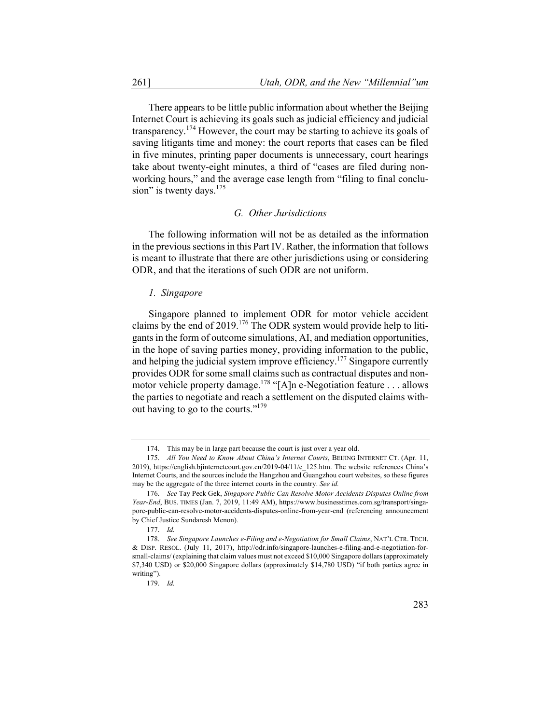There appears to be little public information about whether the Beijing Internet Court is achieving its goals such as judicial efficiency and judicial transparency.<sup>174</sup> However, the court may be starting to achieve its goals of saving litigants time and money: the court reports that cases can be filed in five minutes, printing paper documents is unnecessary, court hearings take about twenty-eight minutes, a third of "cases are filed during nonworking hours," and the average case length from "filing to final conclusion" is twenty days.  $175$ 

#### *G. Other Jurisdictions*

The following information will not be as detailed as the information in the previous sections in this Part IV. Rather, the information that follows is meant to illustrate that there are other jurisdictions using or considering ODR, and that the iterations of such ODR are not uniform.

#### *1. Singapore*

Singapore planned to implement ODR for motor vehicle accident claims by the end of 2019.<sup>176</sup> The ODR system would provide help to litigants in the form of outcome simulations, AI, and mediation opportunities, in the hope of saving parties money, providing information to the public, and helping the judicial system improve efficiency.<sup>177</sup> Singapore currently provides ODR for some small claims such as contractual disputes and nonmotor vehicle property damage.<sup>178</sup> "[A]n e-Negotiation feature . . . allows the parties to negotiate and reach a settlement on the disputed claims without having to go to the courts."179

<sup>174.</sup> This may be in large part because the court is just over a year old.

<sup>175.</sup> *All You Need to Know About China's Internet Courts*, BEIJING INTERNET CT. (Apr. 11, 2019), https://english.bjinternetcourt.gov.cn/2019-04/11/c\_125.htm. The website references China's Internet Courts, and the sources include the Hangzhou and Guangzhou court websites, so these figures may be the aggregate of the three internet courts in the country. *See id.*

<sup>176.</sup> *See* Tay Peck Gek, *Singapore Public Can Resolve Motor Accidents Disputes Online from Year-End*, BUS. TIMES (Jan. 7, 2019, 11:49 AM), https://www.businesstimes.com.sg/transport/singapore-public-can-resolve-motor-accidents-disputes-online-from-year-end (referencing announcement by Chief Justice Sundaresh Menon).

<sup>177.</sup> *Id.*

<sup>178.</sup> *See Singapore Launches e-Filing and e-Negotiation for Small Claims*, NAT'L CTR. TECH. & DISP. RESOL. (July 11, 2017), http://odr.info/singapore-launches-e-filing-and-e-negotiation-forsmall-claims/ (explaining that claim values must not exceed \$10,000 Singapore dollars (approximately \$7,340 USD) or \$20,000 Singapore dollars (approximately \$14,780 USD) "if both parties agree in writing").

<sup>179.</sup> *Id.*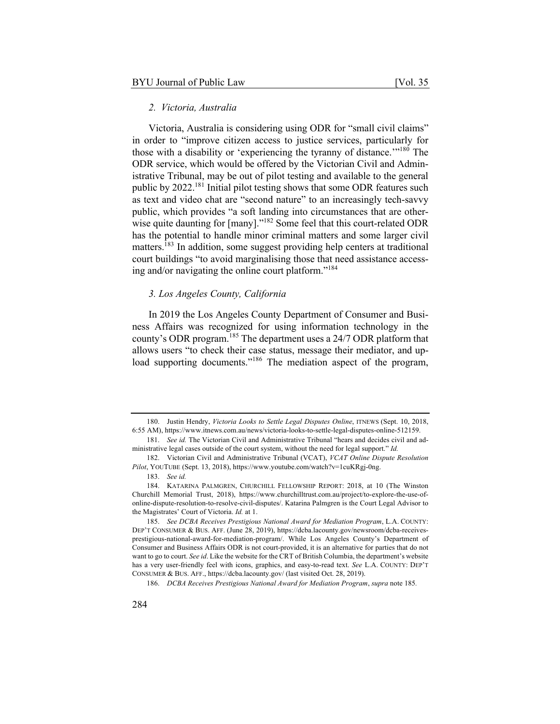## *2. Victoria, Australia*

Victoria, Australia is considering using ODR for "small civil claims" in order to "improve citizen access to justice services, particularly for those with a disability or 'experiencing the tyranny of distance.'"<sup>180</sup> The ODR service, which would be offered by the Victorian Civil and Administrative Tribunal, may be out of pilot testing and available to the general public by 2022.<sup>181</sup> Initial pilot testing shows that some ODR features such as text and video chat are "second nature" to an increasingly tech-savvy public, which provides "a soft landing into circumstances that are otherwise quite daunting for [many]."<sup>182</sup> Some feel that this court-related ODR has the potential to handle minor criminal matters and some larger civil matters.<sup>183</sup> In addition, some suggest providing help centers at traditional court buildings "to avoid marginalising those that need assistance accessing and/or navigating the online court platform."<sup>184</sup>

## *3. Los Angeles County, California*

In 2019 the Los Angeles County Department of Consumer and Business Affairs was recognized for using information technology in the county's ODR program.<sup>185</sup> The department uses a 24/7 ODR platform that allows users "to check their case status, message their mediator, and upload supporting documents."<sup>186</sup> The mediation aspect of the program,

<sup>180.</sup> Justin Hendry, *Victoria Looks to Settle Legal Disputes Online*, ITNEWS (Sept. 10, 2018, 6:55 AM), https://www.itnews.com.au/news/victoria-looks-to-settle-legal-disputes-online-512159.

<sup>181.</sup> *See id.* The Victorian Civil and Administrative Tribunal "hears and decides civil and administrative legal cases outside of the court system, without the need for legal support." *Id.*

<sup>182.</sup> Victorian Civil and Administrative Tribunal (VCAT), *VCAT Online Dispute Resolution Pilot*, YOUTUBE (Sept. 13, 2018), https://www.youtube.com/watch?v=1cuKRgj-0ng.

<sup>183.</sup> *See id.*

<sup>184.</sup> KATARINA PALMGREN, CHURCHILL FELLOWSHIP REPORT: 2018, at 10 (The Winston Churchill Memorial Trust, 2018), https://www.churchilltrust.com.au/project/to-explore-the-use-ofonline-dispute-resolution-to-resolve-civil-disputes/. Katarina Palmgren is the Court Legal Advisor to the Magistrates' Court of Victoria. *Id.* at 1.

<sup>185.</sup> *See DCBA Receives Prestigious National Award for Mediation Program*, L.A. COUNTY: DEP'T CONSUMER & BUS. AFF. (June 28, 2019), https://dcba.lacounty.gov/newsroom/dcba-receivesprestigious-national-award-for-mediation-program/. While Los Angeles County's Department of Consumer and Business Affairs ODR is not court-provided, it is an alternative for parties that do not want to go to court. *See id*. Like the website for the CRT of British Columbia, the department's website has a very user-friendly feel with icons, graphics, and easy-to-read text. *See* L.A. COUNTY: DEP'T CONSUMER & BUS. AFF., https://dcba.lacounty.gov/ (last visited Oct. 28, 2019).

<sup>186.</sup> *DCBA Receives Prestigious National Award for Mediation Program*, *supra* note 185*.*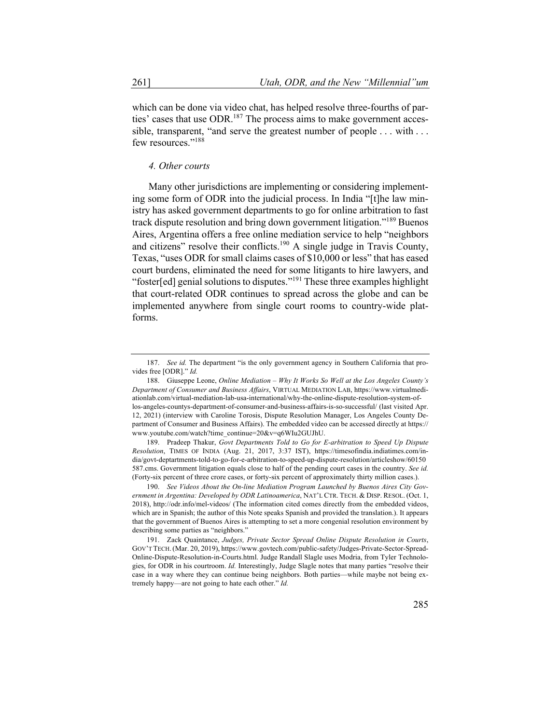which can be done via video chat, has helped resolve three-fourths of parties' cases that use ODR.<sup>187</sup> The process aims to make government accessible, transparent, "and serve the greatest number of people . . . with . . . few resources."<sup>188</sup>

#### *4. Other courts*

Many other jurisdictions are implementing or considering implementing some form of ODR into the judicial process. In India "[t]he law ministry has asked government departments to go for online arbitration to fast track dispute resolution and bring down government litigation."<sup>189</sup> Buenos Aires, Argentina offers a free online mediation service to help "neighbors and citizens" resolve their conflicts.<sup>190</sup> A single judge in Travis County, Texas, "uses ODR for small claims cases of \$10,000 or less" that has eased court burdens, eliminated the need for some litigants to hire lawyers, and "foster[ed] genial solutions to disputes."<sup>191</sup> These three examples highlight that court-related ODR continues to spread across the globe and can be implemented anywhere from single court rooms to country-wide platforms.

189. Pradeep Thakur, *Govt Departments Told to Go for E-arbitration to Speed Up Dispute Resolution*, TIMES OF INDIA (Aug. 21, 2017, 3:37 IST), https://timesofindia.indiatimes.com/india/govt-deptartments-told-to-go-for-e-arbitration-to-speed-up-dispute-resolution/articleshow/60150 587.cms. Government litigation equals close to half of the pending court cases in the country. *See id.* (Forty-six percent of three crore cases, or forty-six percent of approximately thirty million cases.).

<sup>187.</sup> *See id.* The department "is the only government agency in Southern California that provides free [ODR]." *Id.*

<sup>188.</sup> Giuseppe Leone, *Online Mediation – Why It Works So Well at the Los Angeles County's Department of Consumer and Business Affairs*, VIRTUAL MEDIATION LAB, https://www.virtualmediationlab.com/virtual-mediation-lab-usa-international/why-the-online-dispute-resolution-system-oflos-angeles-countys-department-of-consumer-and-business-affairs-is-so-successful/ (last visited Apr. 12, 2021) (interview with Caroline Torosis, Dispute Resolution Manager, Los Angeles County Department of Consumer and Business Affairs). The embedded video can be accessed directly at https:// www.youtube.com/watch?time\_continue=20&v=q6WIu2GUJhU.

<sup>190.</sup> *See Videos About the On-line Mediation Program Launched by Buenos Aires City Government in Argentina: Developed by ODR Latinoamerica*, NAT'L CTR. TECH. & DISP. RESOL. (Oct. 1, 2018), http://odr.info/mel-videos/ (The information cited comes directly from the embedded videos, which are in Spanish; the author of this Note speaks Spanish and provided the translation.). It appears that the government of Buenos Aires is attempting to set a more congenial resolution environment by describing some parties as "neighbors."

<sup>191.</sup> Zack Quaintance, *Judges, Private Sector Spread Online Dispute Resolution in Courts*, GOV'T TECH.(Mar. 20, 2019), https://www.govtech.com/public-safety/Judges-Private-Sector-Spread-Online-Dispute-Resolution-in-Courts.html. Judge Randall Slagle uses Modria, from Tyler Technologies, for ODR in his courtroom. *Id.* Interestingly, Judge Slagle notes that many parties "resolve their case in a way where they can continue being neighbors. Both parties—while maybe not being extremely happy—are not going to hate each other." *Id.*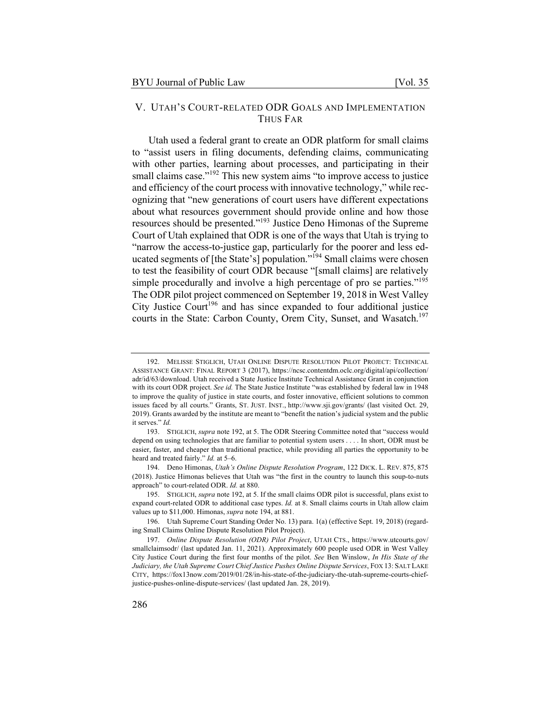# V. UTAH'S COURT-RELATED ODR GOALS AND IMPLEMENTATION THUS FAR

Utah used a federal grant to create an ODR platform for small claims to "assist users in filing documents, defending claims, communicating with other parties, learning about processes, and participating in their small claims case."<sup>192</sup> This new system aims "to improve access to justice and efficiency of the court process with innovative technology," while recognizing that "new generations of court users have different expectations about what resources government should provide online and how those resources should be presented."<sup>193</sup> Justice Deno Himonas of the Supreme Court of Utah explained that ODR is one of the ways that Utah is trying to "narrow the access-to-justice gap, particularly for the poorer and less educated segments of [the State's] population."194 Small claims were chosen to test the feasibility of court ODR because "[small claims] are relatively simple procedurally and involve a high percentage of pro se parties."<sup>195</sup> The ODR pilot project commenced on September 19, 2018 in West Valley City Justice Court<sup>196</sup> and has since expanded to four additional justice courts in the State: Carbon County, Orem City, Sunset, and Wasatch.<sup>197</sup>

194. Deno Himonas, *Utah's Online Dispute Resolution Program*, 122 DICK. L. REV. 875, 875 (2018). Justice Himonas believes that Utah was "the first in the country to launch this soup-to-nuts approach" to court-related ODR. *Id.* at 880.

195. STIGLICH, *supra* note 192, at 5. If the small claims ODR pilot is successful, plans exist to expand court-related ODR to additional case types. *Id.* at 8. Small claims courts in Utah allow claim values up to \$11,000. Himonas, *supra* note 194, at 881.

<sup>192.</sup> MELISSE STIGLICH, UTAH ONLINE DISPUTE RESOLUTION PILOT PROJECT: TECHNICAL ASSISTANCE GRANT: FINAL REPORT 3 (2017), https://ncsc.contentdm.oclc.org/digital/api/collection/ adr/id/63/download. Utah received a State Justice Institute Technical Assistance Grant in conjunction with its court ODR project. *See id.* The State Justice Institute "was established by federal law in 1948 to improve the quality of justice in state courts, and foster innovative, efficient solutions to common issues faced by all courts." Grants, ST. JUST. INST., http://www.sji.gov/grants/ (last visited Oct. 29, 2019). Grants awarded by the institute are meant to "benefit the nation's judicial system and the public it serves." *Id.*

<sup>193.</sup> STIGLICH, *supra* note 192, at 5. The ODR Steering Committee noted that "success would depend on using technologies that are familiar to potential system users . . . . In short, ODR must be easier, faster, and cheaper than traditional practice, while providing all parties the opportunity to be heard and treated fairly." *Id.* at 5–6.

<sup>196.</sup> Utah Supreme Court Standing Order No. 13) para. 1(a) (effective Sept. 19, 2018) (regarding Small Claims Online Dispute Resolution Pilot Project).

<sup>197.</sup> *Online Dispute Resolution (ODR) Pilot Project*, UTAH CTS., https://www.utcourts.gov/ smallclaimsodr/ (last updated Jan. 11, 2021). Approximately 600 people used ODR in West Valley City Justice Court during the first four months of the pilot. *See* Ben Winslow, *In His State of the Judiciary, the Utah Supreme Court Chief Justice Pushes Online Dispute Services*, FOX 13: SALT LAKE CITY, https://fox13now.com/2019/01/28/in-his-state-of-the-judiciary-the-utah-supreme-courts-chiefjustice-pushes-online-dispute-services/ (last updated Jan. 28, 2019).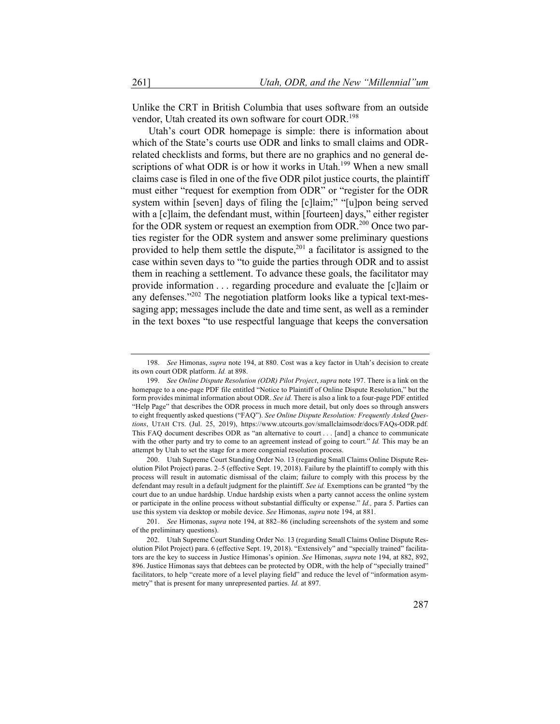Unlike the CRT in British Columbia that uses software from an outside vendor, Utah created its own software for court ODR.<sup>198</sup>

Utah's court ODR homepage is simple: there is information about which of the State's courts use ODR and links to small claims and ODRrelated checklists and forms, but there are no graphics and no general descriptions of what ODR is or how it works in Utah.<sup>199</sup> When a new small claims case is filed in one of the five ODR pilot justice courts, the plaintiff must either "request for exemption from ODR" or "register for the ODR system within [seven] days of filing the [c]laim;" "[u]pon being served with a [c]laim, the defendant must, within [fourteen] days," either register for the ODR system or request an exemption from ODR.<sup>200</sup> Once two parties register for the ODR system and answer some preliminary questions provided to help them settle the dispute,  $201$  a facilitator is assigned to the case within seven days to "to guide the parties through ODR and to assist them in reaching a settlement. To advance these goals, the facilitator may provide information . . . regarding procedure and evaluate the [c]laim or any defenses."<sup>202</sup> The negotiation platform looks like a typical text-messaging app; messages include the date and time sent, as well as a reminder in the text boxes "to use respectful language that keeps the conversation

200. Utah Supreme Court Standing Order No. 13 (regarding Small Claims Online Dispute Resolution Pilot Project) paras. 2–5 (effective Sept. 19, 2018). Failure by the plaintiff to comply with this process will result in automatic dismissal of the claim; failure to comply with this process by the defendant may result in a default judgment for the plaintiff. *See id.* Exemptions can be granted "by the court due to an undue hardship. Undue hardship exists when a party cannot access the online system or participate in the online process without substantial difficulty or expense." *Id.,* para 5. Parties can use this system via desktop or mobile device. *See* Himonas, *supra* note 194, at 881.

201. *See* Himonas, *supra* note 194, at 882–86 (including screenshots of the system and some of the preliminary questions).

<sup>198.</sup> *See* Himonas, *supra* note 194, at 880. Cost was a key factor in Utah's decision to create its own court ODR platform. *Id.* at 898.

<sup>199.</sup> *See Online Dispute Resolution (ODR) Pilot Project*, *supra* note 197. There is a link on the homepage to a one-page PDF file entitled "Notice to Plaintiff of Online Dispute Resolution," but the form provides minimal information about ODR. *See id.* There is also a link to a four-page PDF entitled "Help Page" that describes the ODR process in much more detail, but only does so through answers to eight frequently asked questions ("FAQ"). *See Online Dispute Resolution: Frequently Asked Questions*, UTAH CTS. (Jul. 25, 2019), https://www.utcourts.gov/smallclaimsodr/docs/FAQs-ODR.pdf*.* This FAQ document describes ODR as "an alternative to court . . . [and] a chance to communicate with the other party and try to come to an agreement instead of going to court." *Id.* This may be an attempt by Utah to set the stage for a more congenial resolution process.

<sup>202.</sup> Utah Supreme Court Standing Order No. 13 (regarding Small Claims Online Dispute Resolution Pilot Project) para. 6 (effective Sept. 19, 2018). "Extensively" and "specially trained" facilitators are the key to success in Justice Himonas's opinion. *See* Himonas, *supra* note 194, at 882, 892, 896. Justice Himonas says that debtees can be protected by ODR, with the help of "specially trained" facilitators, to help "create more of a level playing field" and reduce the level of "information asymmetry" that is present for many unrepresented parties. *Id.* at 897.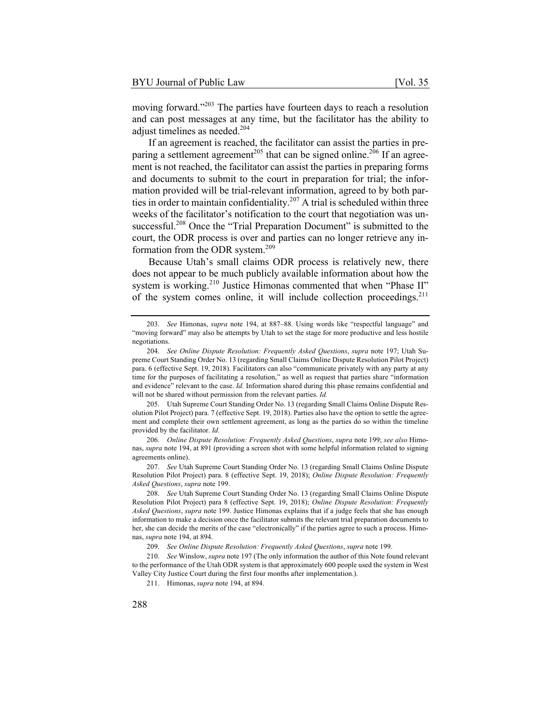moving forward."<sup>203</sup> The parties have fourteen days to reach a resolution and can post messages at any time, but the facilitator has the ability to adjust timelines as needed.<sup>204</sup>

If an agreement is reached, the facilitator can assist the parties in preparing a settlement agreement<sup>205</sup> that can be signed online.<sup>206</sup> If an agreement is not reached, the facilitator can assist the parties in preparing forms and documents to submit to the court in preparation for trial; the information provided will be trial-relevant information, agreed to by both parties in order to maintain confidentiality.<sup>207</sup> A trial is scheduled within three weeks of the facilitator's notification to the court that negotiation was unsuccessful.<sup>208</sup> Once the "Trial Preparation Document" is submitted to the court, the ODR process is over and parties can no longer retrieve any information from the ODR system.<sup>209</sup>

Because Utah's small claims ODR process is relatively new, there does not appear to be much publicly available information about how the system is working.<sup>210</sup> Justice Himonas commented that when "Phase II" of the system comes online, it will include collection proceedings.<sup>211</sup>

205. Utah Supreme Court Standing Order No. 13 (regarding Small Claims Online Dispute Resolution Pilot Project) para. 7 (effective Sept. 19, 2018). Parties also have the option to settle the agreement and complete their own settlement agreement, as long as the parties do so within the timeline provided by the facilitator. *Id.*

206. *Online Dispute Resolution: Frequently Asked Questions*, *supra* note 199; *see also* Himonas, *supra* note 194, at 891 (providing a screen shot with some helpful information related to signing agreements online).

207. *See* Utah Supreme Court Standing Order No. 13 (regarding Small Claims Online Dispute Resolution Pilot Project) para. 8 (effective Sept. 19, 2018); *Online Dispute Resolution: Frequently Asked Questions*, *supra* note 199.

208. *See* Utah Supreme Court Standing Order No. 13 (regarding Small Claims Online Dispute Resolution Pilot Project) para 8 (effective Sept. 19, 2018); *Online Dispute Resolution: Frequently Asked Questions*, *supra* note 199. Justice Himonas explains that if a judge feels that she has enough information to make a decision once the facilitator submits the relevant trial preparation documents to her, she can decide the merits of the case "electronically" if the parties agree to such a process. Himonas, *supra* note 194, at 894.

209. *See Online Dispute Resolution: Frequently Asked Questions*, *supra* note 199.

210. *See* Winslow, *supra* note 197 (The only information the author of this Note found relevant to the performance of the Utah ODR system is that approximately 600 people used the system in West Valley City Justice Court during the first four months after implementation.).

211. Himonas, *supra* note 194, at 894.

<sup>203.</sup> *See* Himonas, *supra* note 194, at 887–88. Using words like "respectful language" and "moving forward" may also be attempts by Utah to set the stage for more productive and less hostile negotiations.

<sup>204.</sup> *See Online Dispute Resolution: Frequently Asked Questions*, *supra* note 197; Utah Supreme Court Standing Order No. 13 (regarding Small Claims Online Dispute Resolution Pilot Project) para. 6 (effective Sept. 19, 2018). Facilitators can also "communicate privately with any party at any time for the purposes of facilitating a resolution," as well as request that parties share "information and evidence" relevant to the case. *Id.* Information shared during this phase remains confidential and will not be shared without permission from the relevant parties. *Id.*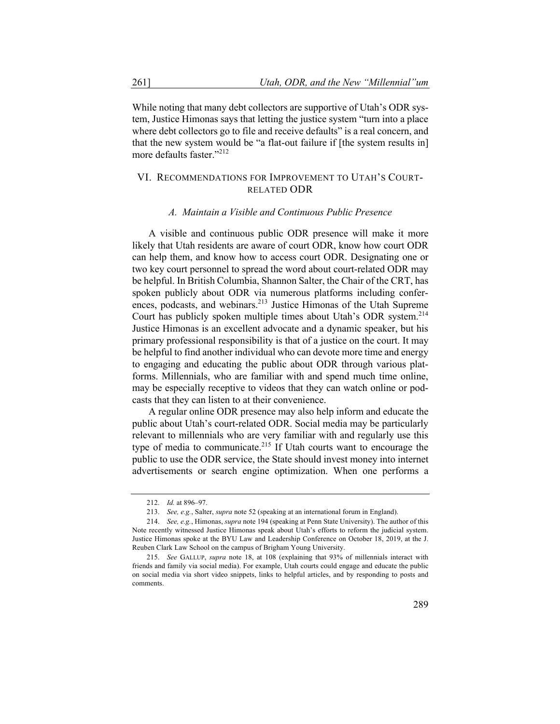While noting that many debt collectors are supportive of Utah's ODR system, Justice Himonas says that letting the justice system "turn into a place where debt collectors go to file and receive defaults" is a real concern, and that the new system would be "a flat-out failure if [the system results in] more defaults faster."<sup>212</sup>

# VI. RECOMMENDATIONS FOR IMPROVEMENT TO UTAH'S COURT-RELATED ODR

## *A. Maintain a Visible and Continuous Public Presence*

A visible and continuous public ODR presence will make it more likely that Utah residents are aware of court ODR, know how court ODR can help them, and know how to access court ODR. Designating one or two key court personnel to spread the word about court-related ODR may be helpful. In British Columbia, Shannon Salter, the Chair of the CRT, has spoken publicly about ODR via numerous platforms including conferences, podcasts, and webinars.<sup>213</sup> Justice Himonas of the Utah Supreme Court has publicly spoken multiple times about Utah's ODR system.<sup>214</sup> Justice Himonas is an excellent advocate and a dynamic speaker, but his primary professional responsibility is that of a justice on the court. It may be helpful to find another individual who can devote more time and energy to engaging and educating the public about ODR through various platforms. Millennials, who are familiar with and spend much time online, may be especially receptive to videos that they can watch online or podcasts that they can listen to at their convenience.

A regular online ODR presence may also help inform and educate the public about Utah's court-related ODR. Social media may be particularly relevant to millennials who are very familiar with and regularly use this type of media to communicate.<sup>215</sup> If Utah courts want to encourage the public to use the ODR service, the State should invest money into internet advertisements or search engine optimization. When one performs a

<sup>212.</sup> *Id.* at 896–97.

<sup>213.</sup> *See, e.g.*, Salter, *supra* note 52 (speaking at an international forum in England).

<sup>214.</sup> *See, e.g.*, Himonas, *supra* note 194 (speaking at Penn State University). The author of this Note recently witnessed Justice Himonas speak about Utah's efforts to reform the judicial system. Justice Himonas spoke at the BYU Law and Leadership Conference on October 18, 2019, at the J. Reuben Clark Law School on the campus of Brigham Young University.

<sup>215.</sup> *See* GALLUP, *supra* note 18, at 108 (explaining that 93% of millennials interact with friends and family via social media). For example, Utah courts could engage and educate the public on social media via short video snippets, links to helpful articles, and by responding to posts and comments.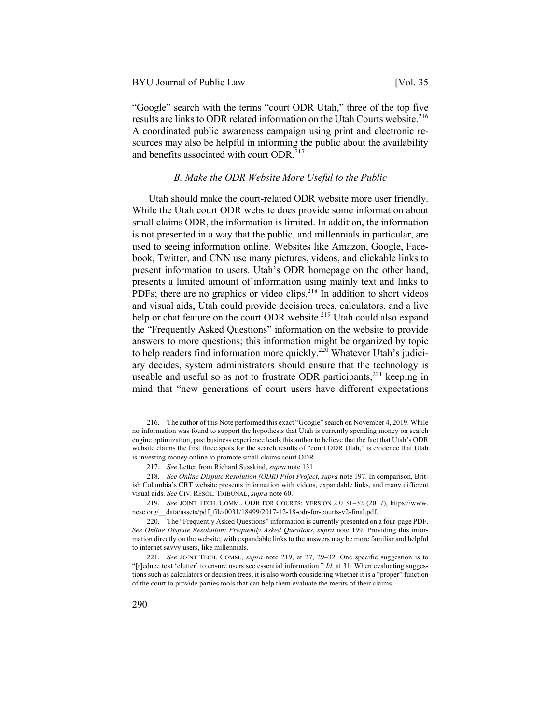"Google" search with the terms "court ODR Utah," three of the top five results are links to ODR related information on the Utah Courts website.<sup>216</sup> A coordinated public awareness campaign using print and electronic resources may also be helpful in informing the public about the availability and benefits associated with court ODR.<sup>217</sup>

# *B. Make the ODR Website More Useful to the Public*

Utah should make the court-related ODR website more user friendly. While the Utah court ODR website does provide some information about small claims ODR, the information is limited. In addition, the information is not presented in a way that the public, and millennials in particular, are used to seeing information online. Websites like Amazon, Google, Facebook, Twitter, and CNN use many pictures, videos, and clickable links to present information to users. Utah's ODR homepage on the other hand, presents a limited amount of information using mainly text and links to PDFs; there are no graphics or video clips.<sup>218</sup> In addition to short videos and visual aids, Utah could provide decision trees, calculators, and a live help or chat feature on the court ODR website.<sup>219</sup> Utah could also expand the "Frequently Asked Questions" information on the website to provide answers to more questions; this information might be organized by topic to help readers find information more quickly.<sup>220</sup> Whatever Utah's judiciary decides, system administrators should ensure that the technology is useable and useful so as not to frustrate ODR participants, $^{221}$  keeping in mind that "new generations of court users have different expectations

<sup>216.</sup> The author of this Note performed this exact "Google" search on November 4, 2019. While no information was found to support the hypothesis that Utah is currently spending money on search engine optimization, past business experience leads this author to believe that the fact that Utah's ODR website claims the first three spots for the search results of "court ODR Utah," is evidence that Utah is investing money online to promote small claims court ODR.

<sup>217.</sup> *See* Letter from Richard Susskind, *supra* note 131.

<sup>218.</sup> *See Online Dispute Resolution (ODR) Pilot Project*, *supra* note 197. In comparison, British Columbia's CRT website presents information with videos, expandable links, and many different visual aids. *See* CIV. RESOL. TRIBUNAL, *supra* note 60.

<sup>219.</sup> *See* JOINT TECH. COMM., ODR FOR COURTS: VERSION 2.0 31–32 (2017), https://www. ncsc.org/\_\_data/assets/pdf\_file/0031/18499/2017-12-18-odr-for-courts-v2-final.pdf.

<sup>220.</sup> The "Frequently Asked Questions" information is currently presented on a four-page PDF. *See Online Dispute Resolution: Frequently Asked Questions*, *supra* note 199. Providing this information directly on the website, with expandable links to the answers may be more familiar and helpful to internet savvy users, like millennials.

<sup>221.</sup> *See* JOINT TECH. COMM., *supra* note 219, at 27, 29–32. One specific suggestion is to "[r]educe text 'clutter' to ensure users see essential information." *Id.* at 31. When evaluating suggestions such as calculators or decision trees, it is also worth considering whether it is a "proper" function of the court to provide parties tools that can help them evaluate the merits of their claims.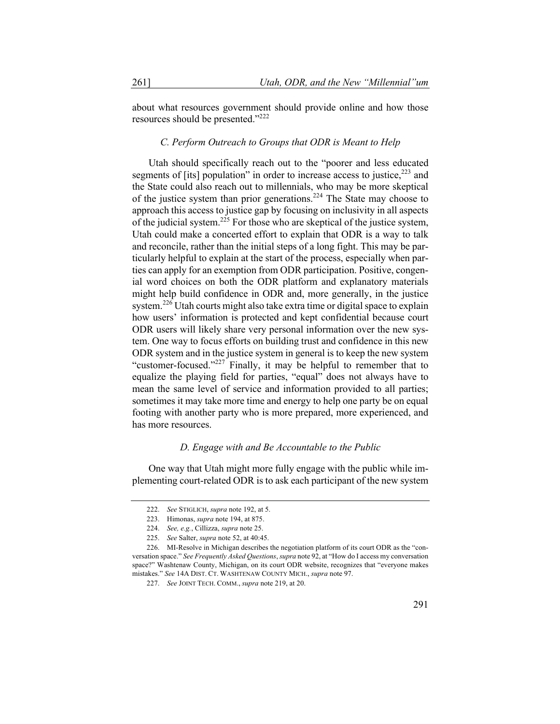about what resources government should provide online and how those resources should be presented."<sup>222</sup>

#### *C. Perform Outreach to Groups that ODR is Meant to Help*

Utah should specifically reach out to the "poorer and less educated segments of [its] population" in order to increase access to justice,<sup>223</sup> and the State could also reach out to millennials, who may be more skeptical of the justice system than prior generations.<sup>224</sup> The State may choose to approach this access to justice gap by focusing on inclusivity in all aspects of the judicial system.<sup>225</sup> For those who are skeptical of the justice system, Utah could make a concerted effort to explain that ODR is a way to talk and reconcile, rather than the initial steps of a long fight. This may be particularly helpful to explain at the start of the process, especially when parties can apply for an exemption from ODR participation. Positive, congenial word choices on both the ODR platform and explanatory materials might help build confidence in ODR and, more generally, in the justice system.<sup>226</sup> Utah courts might also take extra time or digital space to explain how users' information is protected and kept confidential because court ODR users will likely share very personal information over the new system. One way to focus efforts on building trust and confidence in this new ODR system and in the justice system in general is to keep the new system "customer-focused."<sup>227</sup> Finally, it may be helpful to remember that to equalize the playing field for parties, "equal" does not always have to mean the same level of service and information provided to all parties; sometimes it may take more time and energy to help one party be on equal footing with another party who is more prepared, more experienced, and has more resources.

## *D. Engage with and Be Accountable to the Public*

One way that Utah might more fully engage with the public while implementing court-related ODR is to ask each participant of the new system

<sup>222.</sup> *See* STIGLICH, *supra* note 192, at 5.

<sup>223.</sup> Himonas, *supra* note 194, at 875.

<sup>224.</sup> *See, e.g.*, Cillizza, *supra* note 25.

<sup>225.</sup> *See* Salter, *supra* note 52, at 40:45.

<sup>226.</sup> MI-Resolve in Michigan describes the negotiation platform of its court ODR as the "conversation space." *See Frequently Asked Questions*, *supra* note 92, at "How do I access my conversation space?" Washtenaw County, Michigan, on its court ODR website, recognizes that "everyone makes mistakes." *See* 14A DIST. CT. WASHTENAW COUNTY MICH., *supra* note 97.

<sup>227.</sup> *See* JOINT TECH. COMM., *supra* note 219, at 20.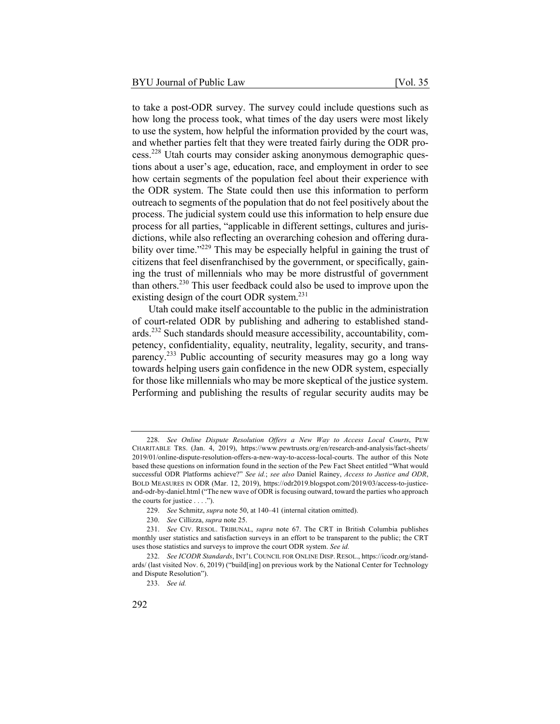to take a post-ODR survey. The survey could include questions such as how long the process took, what times of the day users were most likely to use the system, how helpful the information provided by the court was, and whether parties felt that they were treated fairly during the ODR process.<sup>228</sup> Utah courts may consider asking anonymous demographic questions about a user's age, education, race, and employment in order to see how certain segments of the population feel about their experience with the ODR system. The State could then use this information to perform outreach to segments of the population that do not feel positively about the process. The judicial system could use this information to help ensure due process for all parties, "applicable in different settings, cultures and jurisdictions, while also reflecting an overarching cohesion and offering durability over time."<sup>229</sup> This may be especially helpful in gaining the trust of citizens that feel disenfranchised by the government, or specifically, gaining the trust of millennials who may be more distrustful of government than others.<sup>230</sup> This user feedback could also be used to improve upon the existing design of the court ODR system.<sup>231</sup>

Utah could make itself accountable to the public in the administration of court-related ODR by publishing and adhering to established standards.<sup>232</sup> Such standards should measure accessibility, accountability, competency, confidentiality, equality, neutrality, legality, security, and transparency.<sup>233</sup> Public accounting of security measures may go a long way towards helping users gain confidence in the new ODR system, especially for those like millennials who may be more skeptical of the justice system. Performing and publishing the results of regular security audits may be

<sup>228.</sup> *See Online Dispute Resolution Offers a New Way to Access Local Courts*, PEW CHARITABLE TRS. (Jan. 4, 2019), https://www.pewtrusts.org/en/research-and-analysis/fact-sheets/ 2019/01/online-dispute-resolution-offers-a-new-way-to-access-local-courts. The author of this Note based these questions on information found in the section of the Pew Fact Sheet entitled "What would successful ODR Platforms achieve?" *See id.*; *see also* Daniel Rainey, *Access to Justice and ODR*, BOLD MEASURES IN ODR (Mar. 12, 2019), https://odr2019.blogspot.com/2019/03/access-to-justiceand-odr-by-daniel.html ("The new wave of ODR is focusing outward, toward the parties who approach the courts for justice . . . .").

<sup>229.</sup> *See* Schmitz, *supra* note 50, at 140–41 (internal citation omitted).

<sup>230.</sup> *See* Cillizza, *supra* note 25.

<sup>231.</sup> *See* CIV. RESOL. TRIBUNAL, *supra* note 67. The CRT in British Columbia publishes monthly user statistics and satisfaction surveys in an effort to be transparent to the public; the CRT uses those statistics and surveys to improve the court ODR system. *See id.*

<sup>232.</sup> *See ICODR Standards*, INT'L COUNCIL FOR ONLINE DISP. RESOL., https://icodr.org/standards/ (last visited Nov. 6, 2019) ("build[ing] on previous work by the National Center for Technology and Dispute Resolution").

<sup>233.</sup> *See id.*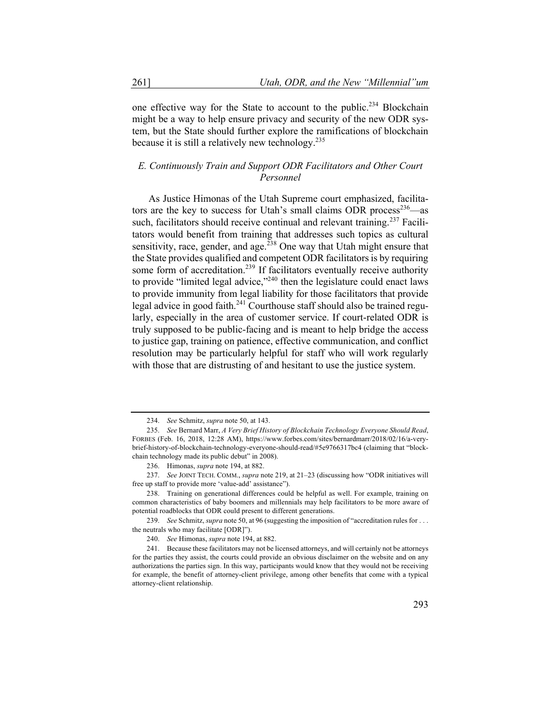one effective way for the State to account to the public.<sup>234</sup> Blockchain might be a way to help ensure privacy and security of the new ODR system, but the State should further explore the ramifications of blockchain because it is still a relatively new technology.  $235$ 

# *E. Continuously Train and Support ODR Facilitators and Other Court Personnel*

As Justice Himonas of the Utah Supreme court emphasized, facilitators are the key to success for Utah's small claims ODR process<sup>236</sup>—as such, facilitators should receive continual and relevant training.<sup>237</sup> Facilitators would benefit from training that addresses such topics as cultural sensitivity, race, gender, and age.<sup>238</sup> One way that Utah might ensure that the State provides qualified and competent ODR facilitators is by requiring some form of accreditation.<sup>239</sup> If facilitators eventually receive authority to provide "limited legal advice,"<sup>240</sup> then the legislature could enact laws to provide immunity from legal liability for those facilitators that provide legal advice in good faith.<sup>241</sup> Courthouse staff should also be trained regularly, especially in the area of customer service. If court-related ODR is truly supposed to be public-facing and is meant to help bridge the access to justice gap, training on patience, effective communication, and conflict resolution may be particularly helpful for staff who will work regularly with those that are distrusting of and hesitant to use the justice system.

<sup>234.</sup> *See* Schmitz, *supra* note 50, at 143.

<sup>235.</sup> *See* Bernard Marr, *A Very Brief History of Blockchain Technology Everyone Should Read*, FORBES (Feb. 16, 2018, 12:28 AM), https://www.forbes.com/sites/bernardmarr/2018/02/16/a-verybrief-history-of-blockchain-technology-everyone-should-read/#5e9766317bc4 (claiming that "blockchain technology made its public debut" in 2008).

<sup>236.</sup> Himonas, *supra* note 194, at 882.

<sup>237.</sup> *See* JOINT TECH. COMM., *supra* note 219, at 21–23 (discussing how "ODR initiatives will free up staff to provide more 'value-add' assistance").

<sup>238.</sup> Training on generational differences could be helpful as well. For example, training on common characteristics of baby boomers and millennials may help facilitators to be more aware of potential roadblocks that ODR could present to different generations.

<sup>239.</sup> *See* Schmitz, *supra* note 50, at 96 (suggesting the imposition of "accreditation rules for . . . the neutrals who may facilitate [ODR]").

<sup>240.</sup> *See* Himonas, *supra* note 194, at 882.

<sup>241.</sup> Because these facilitators may not be licensed attorneys, and will certainly not be attorneys for the parties they assist, the courts could provide an obvious disclaimer on the website and on any authorizations the parties sign. In this way, participants would know that they would not be receiving for example, the benefit of attorney-client privilege, among other benefits that come with a typical attorney-client relationship.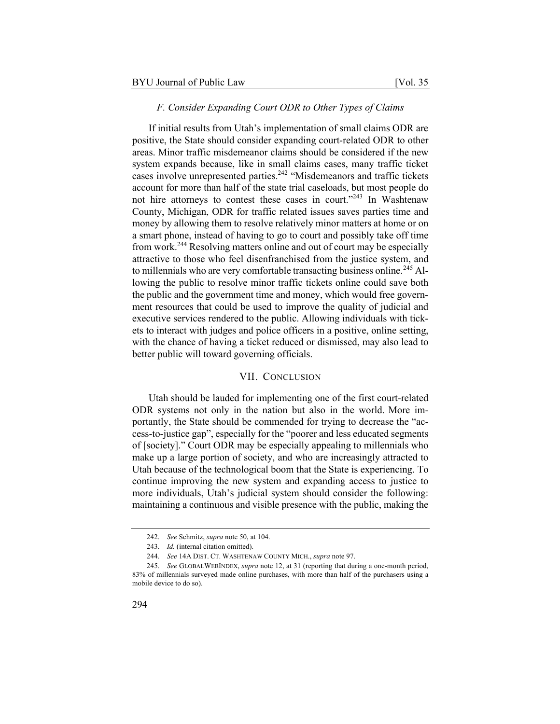## *F. Consider Expanding Court ODR to Other Types of Claims*

If initial results from Utah's implementation of small claims ODR are positive, the State should consider expanding court-related ODR to other areas. Minor traffic misdemeanor claims should be considered if the new system expands because, like in small claims cases, many traffic ticket cases involve unrepresented parties.<sup>242</sup> "Misdemeanors and traffic tickets" account for more than half of the state trial caseloads, but most people do not hire attorneys to contest these cases in court."<sup>243</sup> In Washtenaw County, Michigan, ODR for traffic related issues saves parties time and money by allowing them to resolve relatively minor matters at home or on a smart phone, instead of having to go to court and possibly take off time from work.<sup>244</sup> Resolving matters online and out of court may be especially attractive to those who feel disenfranchised from the justice system, and to millennials who are very comfortable transacting business online.<sup>245</sup> Allowing the public to resolve minor traffic tickets online could save both the public and the government time and money, which would free government resources that could be used to improve the quality of judicial and executive services rendered to the public. Allowing individuals with tickets to interact with judges and police officers in a positive, online setting, with the chance of having a ticket reduced or dismissed, may also lead to better public will toward governing officials.

# VII. CONCLUSION

Utah should be lauded for implementing one of the first court-related ODR systems not only in the nation but also in the world. More importantly, the State should be commended for trying to decrease the "access-to-justice gap", especially for the "poorer and less educated segments of [society]." Court ODR may be especially appealing to millennials who make up a large portion of society, and who are increasingly attracted to Utah because of the technological boom that the State is experiencing. To continue improving the new system and expanding access to justice to more individuals, Utah's judicial system should consider the following: maintaining a continuous and visible presence with the public, making the

<sup>242.</sup> *See* Schmitz, *supra* note 50, at 104.

<sup>243.</sup> *Id.* (internal citation omitted).

<sup>244.</sup> *See* 14A DIST. CT. WASHTENAW COUNTY MICH., *supra* note 97.

<sup>245.</sup> *See* GLOBALWEBINDEX, *supra* note 12, at 31 (reporting that during a one-month period, 83% of millennials surveyed made online purchases, with more than half of the purchasers using a mobile device to do so).